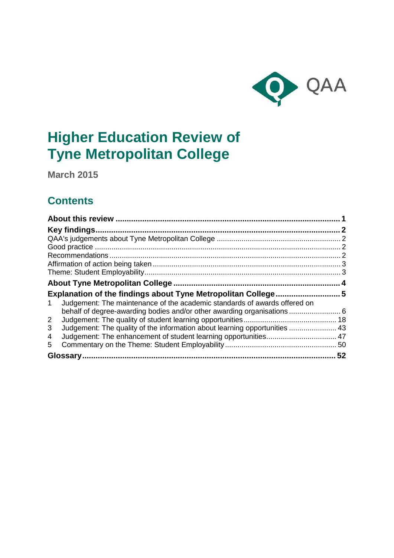

# **Higher Education Review of Tyne Metropolitan College**

**March 2015**

## **Contents**

| Judgement: The maintenance of the academic standards of awards offered on<br>$\mathbf{1}$ |  |
|-------------------------------------------------------------------------------------------|--|
|                                                                                           |  |
| 2                                                                                         |  |
| Judgement: The quality of the information about learning opportunities  43<br>3           |  |
| 4                                                                                         |  |
| 5                                                                                         |  |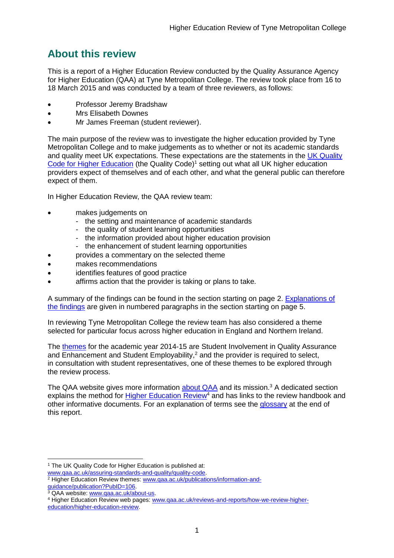## <span id="page-1-0"></span>**About this review**

This is a report of a Higher Education Review conducted by the Quality Assurance Agency for Higher Education (QAA) at Tyne Metropolitan College. The review took place from 16 to 18 March 2015 and was conducted by a team of three reviewers, as follows:

- Professor Jeremy Bradshaw
- Mrs Elisabeth Downes
- Mr James Freeman (student reviewer).

The main purpose of the review was to investigate the higher education provided by Tyne Metropolitan College and to make judgements as to whether or not its academic standards and quality meet UK expectations. These expectations are the statements in the UK Quality [Code for Higher Education](http://www.qaa.ac.uk/assuring-standards-and-quality/the-quality-code) (the Quality Code)<sup>1</sup> setting out what all UK higher education [providers](http://newlive.qaa.ac.uk/AboutUs/glossary/Pages/glossary-h.aspx#h2.1) expect of themselves and of each other, and what the general public can therefore expect of them.

In Higher Education Review, the QAA review team:

- makes judgements on
	- the setting and maintenance of academic standards
	- the quality of student learning opportunities
	- the information provided about higher education provision
	- the enhancement of student learning opportunities
	- provides a commentary on the selected theme
- makes recommendations
- identifies features of good practice
- affirms action that the provider is taking or plans to take.

A summary of the findings can be found in the section starting on page 2. [Explanations of](#page-5-0)  [the findings](#page-5-0) are given in numbered paragraphs in the section starting on page 5.

In reviewing Tyne Metropolitan College the review team has also considered a theme selected for particular focus across higher education in England and Northern Ireland.

The [themes](http://www.qaa.ac.uk/publications/information-and-guidance/publication?PubID=106) for the academic year 2014-15 are Student Involvement in Quality Assurance and Enhancement and Student Employability,<sup>2</sup> and the provider is required to select, in consultation with student representatives, one of these themes to be explored through the review process.

The QAA website gives more information [about QAA](http://www.qaa.ac.uk/aboutus/pages/default.aspx) and its mission.<sup>3</sup> A dedicated section explains the method for [Higher Education](http://www.qaa.ac.uk/reviews-and-reports/how-we-review-higher-education/higher-education-review) Review<sup>4</sup> and has links to the review handbook and other informative documents. For an explanation of terms see the [glossary](#page-50-1) at the end of this report.

-

<sup>&</sup>lt;sup>1</sup> The UK Quality Code for Higher Education is published at:

[www.qaa.ac.uk/assuring-standards-and-quality/quality-code.](http://www.qaa.ac.uk/assuring-standards-and-quality/the-quality-code) <sup>2</sup> Higher Education Review themes: **www.qaa.ac.uk/publications/information-and**[guidance/publication?PubID=106.](http://www.qaa.ac.uk/publications/information-and-guidance/publication?PubID=106)

<sup>&</sup>lt;sup>3</sup> QAA website: [www.qaa.ac.uk/about-us.](http://www.qaa.ac.uk/about-us)

<sup>4</sup> Higher Education Review web pages: [www.qaa.ac.uk/reviews-and-reports/how-we-review-higher](http://www.qaa.ac.uk/reviews-and-reports/how-we-review-higher-education/higher-education-review)[education/higher-education-review.](http://www.qaa.ac.uk/reviews-and-reports/how-we-review-higher-education/higher-education-review)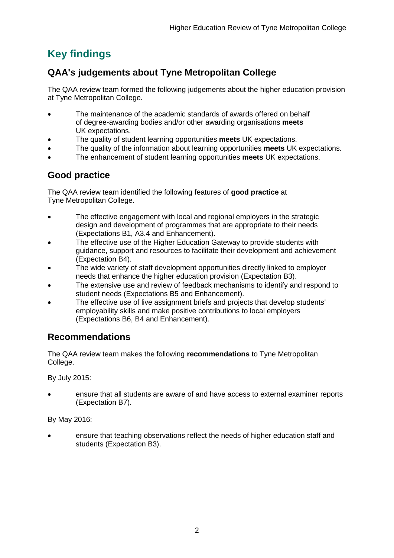## <span id="page-2-0"></span>**Key findings**

## <span id="page-2-1"></span>**QAA's judgements about Tyne Metropolitan College**

The QAA review team formed the following judgements about the higher education provision at Tyne Metropolitan College.

- The maintenance of the academic standards of awards offered on behalf of degree-awarding bodies and/or other awarding organisations **meets** UK expectations.
- The quality of student learning opportunities **meets** UK expectations.
- The quality of the information about learning opportunities **meets** UK expectations.
- The enhancement of student learning opportunities **meets** UK expectations.

## <span id="page-2-2"></span>**Good practice**

The QAA review team identified the following features of **good practice** at Tyne Metropolitan College.

- The effective engagement with local and regional employers in the strategic design and development of programmes that are appropriate to their needs (Expectations B1, A3.4 and Enhancement).
- The effective use of the Higher Education Gateway to provide students with guidance, support and resources to facilitate their development and achievement (Expectation B4).
- The wide variety of staff development opportunities directly linked to employer needs that enhance the higher education provision (Expectation B3).
- The extensive use and review of feedback mechanisms to identify and respond to student needs (Expectations B5 and Enhancement).
- The effective use of live assignment briefs and projects that develop students' employability skills and make positive contributions to local employers (Expectations B6, B4 and Enhancement).

## <span id="page-2-3"></span>**Recommendations**

The QAA review team makes the following **recommendations** to Tyne Metropolitan College.

By July 2015:

 ensure that all students are aware of and have access to external examiner reports (Expectation B7).

By May 2016:

 ensure that teaching observations reflect the needs of higher education staff and students (Expectation B3).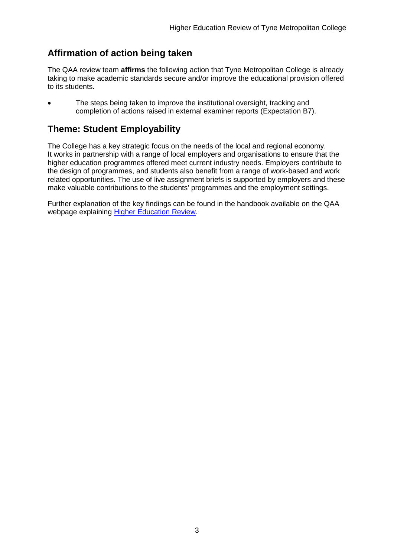## <span id="page-3-0"></span>**Affirmation of action being taken**

The QAA review team **affirms** the following action that Tyne Metropolitan College is already taking to make academic standards secure and/or improve the educational provision offered to its students.

 The steps being taken to improve the institutional oversight, tracking and completion of actions raised in external examiner reports (Expectation B7).

## <span id="page-3-1"></span>**Theme: Student Employability**

The College has a key strategic focus on the needs of the local and regional economy. It works in partnership with a range of local employers and organisations to ensure that the higher education programmes offered meet current industry needs. Employers contribute to the design of programmes, and students also benefit from a range of work-based and work related opportunities. The use of live assignment briefs is supported by employers and these make valuable contributions to the students' programmes and the employment settings.

Further explanation of the key findings can be found in the handbook available on the QAA webpage explaining [Higher Education Review.](http://www.qaa.ac.uk/reviews-and-reports/how-we-review-higher-education/higher-education-review)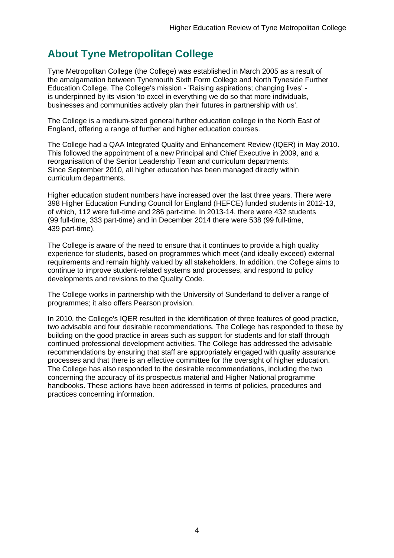## <span id="page-4-0"></span>**About Tyne Metropolitan College**

Tyne Metropolitan College (the College) was established in March 2005 as a result of the amalgamation between Tynemouth Sixth Form College and North Tyneside Further Education College. The College's mission - 'Raising aspirations; changing lives' is underpinned by its vision 'to excel in everything we do so that more individuals, businesses and communities actively plan their futures in partnership with us'.

The College is a medium-sized general further education college in the North East of England, offering a range of further and higher education courses.

The College had a QAA Integrated Quality and Enhancement Review (IQER) in May 2010. This followed the appointment of a new Principal and Chief Executive in 2009, and a reorganisation of the Senior Leadership Team and curriculum departments. Since September 2010, all higher education has been managed directly within curriculum departments.

Higher education student numbers have increased over the last three years. There were 398 Higher Education Funding Council for England (HEFCE) funded students in 2012-13, of which, 112 were full-time and 286 part-time. In 2013-14, there were 432 students (99 full-time, 333 part-time) and in December 2014 there were 538 (99 full-time, 439 part-time).

The College is aware of the need to ensure that it continues to provide a high quality experience for students, based on programmes which meet (and ideally exceed) external requirements and remain highly valued by all stakeholders. In addition, the College aims to continue to improve student-related systems and processes, and respond to policy developments and revisions to the Quality Code.

The College works in partnership with the University of Sunderland to deliver a range of programmes; it also offers Pearson provision.

In 2010, the College's IQER resulted in the identification of three features of good practice, two advisable and four desirable recommendations. The College has responded to these by building on the good practice in areas such as support for students and for staff through continued professional development activities. The College has addressed the advisable recommendations by ensuring that staff are appropriately engaged with quality assurance processes and that there is an effective committee for the oversight of higher education. The College has also responded to the desirable recommendations, including the two concerning the accuracy of its prospectus material and Higher National programme handbooks. These actions have been addressed in terms of policies, procedures and practices concerning information.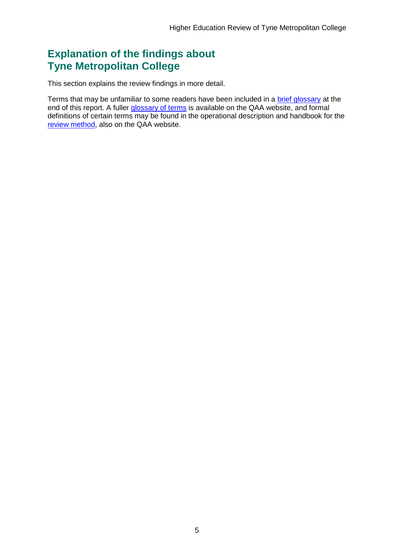## <span id="page-5-0"></span>**Explanation of the findings about Tyne Metropolitan College**

This section explains the review findings in more detail.

Terms that may be unfamiliar to some readers have been included in a [brief glossary](#page-50-1) at the end of this report. A fuller [glossary of terms](http://www.qaa.ac.uk/Pages/GlossaryEN.aspx) is available on the QAA website, and formal definitions of certain terms may be found in the operational description and handbook for the [review method,](http://www.qaa.ac.uk/reviews-and-reports/how-we-review-higher-education/higher-education-review) also on the QAA website.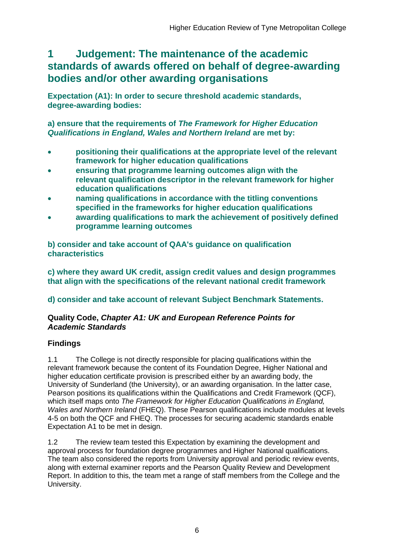## <span id="page-6-0"></span>**1 Judgement: The maintenance of the academic standards of awards offered on behalf of degree-awarding bodies and/or other awarding organisations**

**Expectation (A1): In order to secure threshold academic standards, degree-awarding bodies:** 

**a) ensure that the requirements of** *The Framework for Higher Education Qualifications in England, Wales and Northern Ireland* **are met by:**

- **positioning their qualifications at the appropriate level of the relevant framework for higher education qualifications**
- **ensuring that programme learning outcomes align with the relevant qualification descriptor in the relevant framework for higher education qualifications**
- **naming qualifications in accordance with the titling conventions specified in the frameworks for higher education qualifications**
- **awarding qualifications to mark the achievement of positively defined programme learning outcomes**

**b) consider and take account of QAA's guidance on qualification characteristics** 

**c) where they award UK credit, assign credit values and design programmes that align with the specifications of the relevant national credit framework** 

## **d) consider and take account of relevant Subject Benchmark Statements.**

### **Quality Code,** *Chapter A1: UK and European Reference Points for Academic Standards*

## **Findings**

1.1 The College is not directly responsible for placing qualifications within the relevant framework because the content of its Foundation Degree, Higher National and higher education certificate provision is prescribed either by an awarding body, the University of Sunderland (the University), or an awarding organisation. In the latter case, Pearson positions its qualifications within the Qualifications and Credit Framework (QCF), which itself maps onto *The Framework for Higher Education Qualifications in England, Wales and Northern Ireland* (FHEQ). These Pearson qualifications include modules at levels 4-5 on both the QCF and FHEQ. The processes for securing academic standards enable Expectation A1 to be met in design.

1.2 The review team tested this Expectation by examining the development and approval process for foundation degree programmes and Higher National qualifications. The team also considered the reports from University approval and periodic review events, along with external examiner reports and the Pearson Quality Review and Development Report. In addition to this, the team met a range of staff members from the College and the University.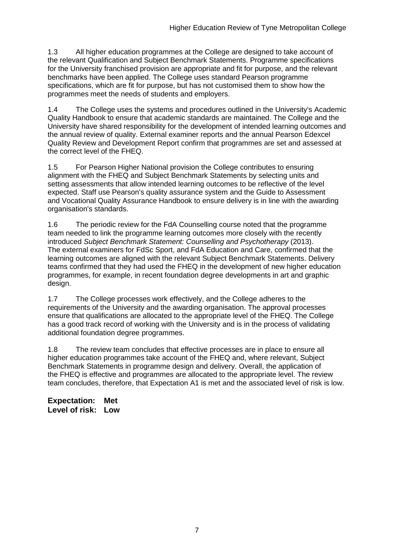1.3 All higher education programmes at the College are designed to take account of the relevant Qualification and Subject Benchmark Statements. Programme specifications for the University franchised provision are appropriate and fit for purpose, and the relevant benchmarks have been applied. The College uses standard Pearson programme specifications, which are fit for purpose, but has not customised them to show how the programmes meet the needs of students and employers.

1.4 The College uses the systems and procedures outlined in the University's Academic Quality Handbook to ensure that academic standards are maintained. The College and the University have shared responsibility for the development of intended learning outcomes and the annual review of quality. External examiner reports and the annual Pearson Edexcel Quality Review and Development Report confirm that programmes are set and assessed at the correct level of the FHEQ.

1.5 For Pearson Higher National provision the College contributes to ensuring alignment with the FHEQ and Subject Benchmark Statements by selecting units and setting assessments that allow intended learning outcomes to be reflective of the level expected. Staff use Pearson's quality assurance system and the Guide to Assessment and Vocational Quality Assurance Handbook to ensure delivery is in line with the awarding organisation's standards.

1.6 The periodic review for the FdA Counselling course noted that the programme team needed to link the programme learning outcomes more closely with the recently introduced *Subject Benchmark Statement: Counselling and Psychotherapy* (2013). The external examiners for FdSc Sport, and FdA Education and Care, confirmed that the learning outcomes are aligned with the relevant Subject Benchmark Statements. Delivery teams confirmed that they had used the FHEQ in the development of new higher education programmes, for example, in recent foundation degree developments in art and graphic design.

1.7 The College processes work effectively, and the College adheres to the requirements of the University and the awarding organisation. The approval processes ensure that qualifications are allocated to the appropriate level of the FHEQ. The College has a good track record of working with the University and is in the process of validating additional foundation degree programmes.

1.8 The review team concludes that effective processes are in place to ensure all higher education programmes take account of the FHEQ and, where relevant, Subject Benchmark Statements in programme design and delivery. Overall, the application of the FHEQ is effective and programmes are allocated to the appropriate level. The review team concludes, therefore, that Expectation A1 is met and the associated level of risk is low.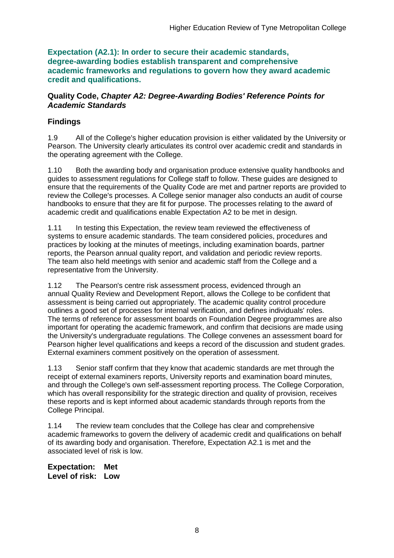**Expectation (A2.1): In order to secure their academic standards, degree-awarding bodies establish transparent and comprehensive academic frameworks and regulations to govern how they award academic credit and qualifications.**

#### **Quality Code,** *Chapter A2: Degree-Awarding Bodies' Reference Points for Academic Standards*

## **Findings**

1.9 All of the College's higher education provision is either validated by the University or Pearson. The University clearly articulates its control over academic credit and standards in the operating agreement with the College.

1.10 Both the awarding body and organisation produce extensive quality handbooks and guides to assessment regulations for College staff to follow. These guides are designed to ensure that the requirements of the Quality Code are met and partner reports are provided to review the College's processes. A College senior manager also conducts an audit of course handbooks to ensure that they are fit for purpose. The processes relating to the award of academic credit and qualifications enable Expectation A2 to be met in design.

1.11 In testing this Expectation, the review team reviewed the effectiveness of systems to ensure academic standards. The team considered policies, procedures and practices by looking at the minutes of meetings, including examination boards, partner reports, the Pearson annual quality report, and validation and periodic review reports. The team also held meetings with senior and academic staff from the College and a representative from the University.

1.12 The Pearson's centre risk assessment process, evidenced through an annual Quality Review and Development Report, allows the College to be confident that assessment is being carried out appropriately. The academic quality control procedure outlines a good set of processes for internal verification, and defines individuals' roles. The terms of reference for assessment boards on Foundation Degree programmes are also important for operating the academic framework, and confirm that decisions are made using the University's undergraduate regulations. The College convenes an assessment board for Pearson higher level qualifications and keeps a record of the discussion and student grades. External examiners comment positively on the operation of assessment.

1.13 Senior staff confirm that they know that academic standards are met through the receipt of external examiners reports, University reports and examination board minutes, and through the College's own self-assessment reporting process. The College Corporation, which has overall responsibility for the strategic direction and quality of provision, receives these reports and is kept informed about academic standards through reports from the College Principal.

1.14 The review team concludes that the College has clear and comprehensive academic frameworks to govern the delivery of academic credit and qualifications on behalf of its awarding body and organisation. Therefore, Expectation A2.1 is met and the associated level of risk is low.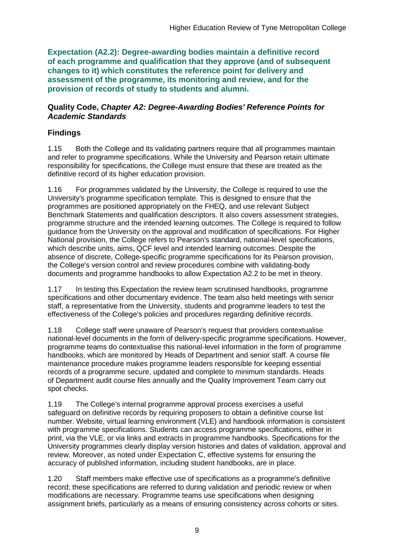**Expectation (A2.2): Degree-awarding bodies maintain a definitive record of each programme and qualification that they approve (and of subsequent changes to it) which constitutes the reference point for delivery and assessment of the programme, its monitoring and review, and for the provision of records of study to students and alumni.** 

#### **Quality Code,** *Chapter A2: Degree-Awarding Bodies' Reference Points for Academic Standards*

## **Findings**

1.15 Both the College and its validating partners require that all programmes maintain and refer to programme specifications. While the University and Pearson retain ultimate responsibility for specifications, the College must ensure that these are treated as the definitive record of its higher education provision.

1.16 For programmes validated by the University, the College is required to use the University's programme specification template. This is designed to ensure that the programmes are positioned appropriately on the FHEQ, and use relevant Subject Benchmark Statements and qualification descriptors. It also covers assessment strategies, programme structure and the intended learning outcomes. The College is required to follow guidance from the University on the approval and modification of specifications. For Higher National provision, the College refers to Pearson's standard, national-level specifications, which describe units, aims, QCF level and intended learning outcomes. Despite the absence of discrete, College-specific programme specifications for its Pearson provision, the College's version control and review procedures combine with validating-body documents and programme handbooks to allow Expectation A2.2 to be met in theory.

1.17 In testing this Expectation the review team scrutinised handbooks, programme specifications and other documentary evidence. The team also held meetings with senior staff, a representative from the University, students and programme leaders to test the effectiveness of the College's policies and procedures regarding definitive records.

1.18 College staff were unaware of Pearson's request that providers contextualise national-level documents in the form of delivery-specific programme specifications. However, programme teams do contextualise this national-level information in the form of programme handbooks, which are monitored by Heads of Department and senior staff. A course file maintenance procedure makes programme leaders responsible for keeping essential records of a programme secure, updated and complete to minimum standards. Heads of Department audit course files annually and the Quality Improvement Team carry out spot checks.

1.19 The College's internal programme approval process exercises a useful safeguard on definitive records by requiring proposers to obtain a definitive course list number. Website, virtual learning environment (VLE) and handbook information is consistent with programme specifications. Students can access programme specifications, either in print, via the VLE, or via links and extracts in programme handbooks. Specifications for the University programmes clearly display version histories and dates of validation, approval and review. Moreover, as noted under Expectation C, effective systems for ensuring the accuracy of published information, including student handbooks, are in place.

1.20 Staff members make effective use of specifications as a programme's definitive record; these specifications are referred to during validation and periodic review or when modifications are necessary. Programme teams use specifications when designing assignment briefs, particularly as a means of ensuring consistency across cohorts or sites.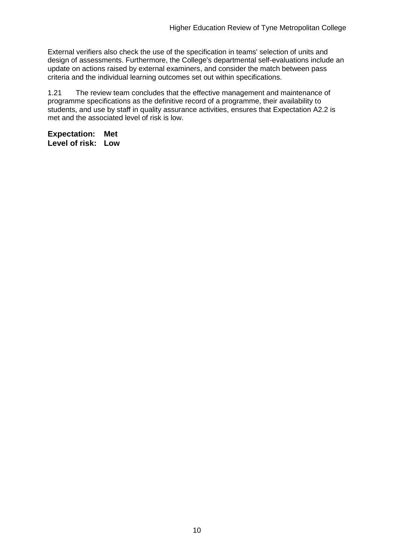External verifiers also check the use of the specification in teams' selection of units and design of assessments. Furthermore, the College's departmental self-evaluations include an update on actions raised by external examiners, and consider the match between pass criteria and the individual learning outcomes set out within specifications.

1.21 The review team concludes that the effective management and maintenance of programme specifications as the definitive record of a programme, their availability to students, and use by staff in quality assurance activities, ensures that Expectation A2.2 is met and the associated level of risk is low.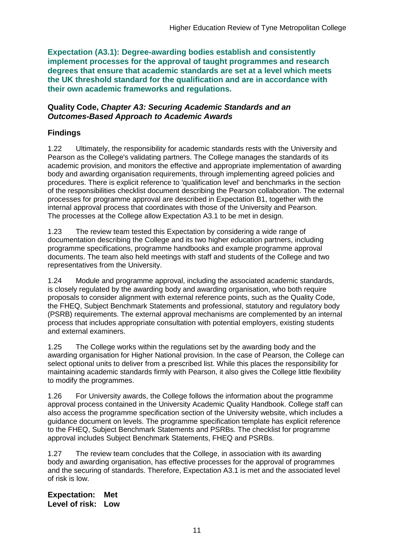**Expectation (A3.1): Degree-awarding bodies establish and consistently implement processes for the approval of taught programmes and research degrees that ensure that academic standards are set at a level which meets the UK threshold standard for the qualification and are in accordance with their own academic frameworks and regulations.**

#### **Quality Code,** *Chapter A3: Securing Academic Standards and an Outcomes-Based Approach to Academic Awards*

### **Findings**

1.22 Ultimately, the responsibility for academic standards rests with the University and Pearson as the College's validating partners. The College manages the standards of its academic provision, and monitors the effective and appropriate implementation of awarding body and awarding organisation requirements, through implementing agreed policies and procedures. There is explicit reference to 'qualification level' and benchmarks in the section of the responsibilities checklist document describing the Pearson collaboration. The external processes for programme approval are described in Expectation B1, together with the internal approval process that coordinates with those of the University and Pearson. The processes at the College allow Expectation A3.1 to be met in design.

1.23 The review team tested this Expectation by considering a wide range of documentation describing the College and its two higher education partners, including programme specifications, programme handbooks and example programme approval documents. The team also held meetings with staff and students of the College and two representatives from the University.

1.24 Module and programme approval, including the associated academic standards, is closely regulated by the awarding body and awarding organisation, who both require proposals to consider alignment with external reference points, such as the Quality Code, the FHEQ, Subject Benchmark Statements and professional, statutory and regulatory body (PSRB) requirements. The external approval mechanisms are complemented by an internal process that includes appropriate consultation with potential employers, existing students and external examiners.

1.25 The College works within the regulations set by the awarding body and the awarding organisation for Higher National provision. In the case of Pearson, the College can select optional units to deliver from a prescribed list. While this places the responsibility for maintaining academic standards firmly with Pearson, it also gives the College little flexibility to modify the programmes.

1.26 For University awards, the College follows the information about the programme approval process contained in the University Academic Quality Handbook. College staff can also access the programme specification section of the University website, which includes a guidance document on levels. The programme specification template has explicit reference to the FHEQ, Subject Benchmark Statements and PSRBs. The checklist for programme approval includes Subject Benchmark Statements, FHEQ and PSRBs.

1.27 The review team concludes that the College, in association with its awarding body and awarding organisation, has effective processes for the approval of programmes and the securing of standards. Therefore, Expectation A3.1 is met and the associated level of risk is low.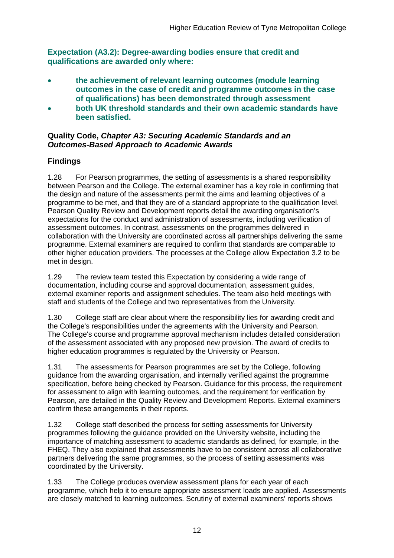**Expectation (A3.2): Degree-awarding bodies ensure that credit and qualifications are awarded only where:** 

- **the achievement of relevant learning outcomes (module learning outcomes in the case of credit and programme outcomes in the case of qualifications) has been demonstrated through assessment**
- **both UK threshold standards and their own academic standards have been satisfied.**

#### **Quality Code,** *Chapter A3: Securing Academic Standards and an Outcomes-Based Approach to Academic Awards*

## **Findings**

1.28 For Pearson programmes, the setting of assessments is a shared responsibility between Pearson and the College. The external examiner has a key role in confirming that the design and nature of the assessments permit the aims and learning objectives of a programme to be met, and that they are of a standard appropriate to the qualification level. Pearson Quality Review and Development reports detail the awarding organisation's expectations for the conduct and administration of assessments, including verification of assessment outcomes. In contrast, assessments on the programmes delivered in collaboration with the University are coordinated across all partnerships delivering the same programme. External examiners are required to confirm that standards are comparable to other higher education providers. The processes at the College allow Expectation 3.2 to be met in design.

1.29 The review team tested this Expectation by considering a wide range of documentation, including course and approval documentation, assessment guides, external examiner reports and assignment schedules. The team also held meetings with staff and students of the College and two representatives from the University.

1.30 College staff are clear about where the responsibility lies for awarding credit and the College's responsibilities under the agreements with the University and Pearson. The College's course and programme approval mechanism includes detailed consideration of the assessment associated with any proposed new provision. The award of credits to higher education programmes is regulated by the University or Pearson.

1.31 The assessments for Pearson programmes are set by the College, following guidance from the awarding organisation, and internally verified against the programme specification, before being checked by Pearson. Guidance for this process, the requirement for assessment to align with learning outcomes, and the requirement for verification by Pearson, are detailed in the Quality Review and Development Reports. External examiners confirm these arrangements in their reports.

1.32 College staff described the process for setting assessments for University programmes following the guidance provided on the University website, including the importance of matching assessment to academic standards as defined, for example, in the FHEQ. They also explained that assessments have to be consistent across all collaborative partners delivering the same programmes, so the process of setting assessments was coordinated by the University.

1.33 The College produces overview assessment plans for each year of each programme, which help it to ensure appropriate assessment loads are applied. Assessments are closely matched to learning outcomes. Scrutiny of external examiners' reports shows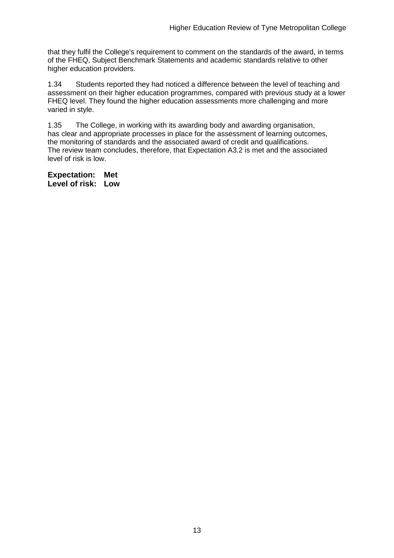that they fulfil the College's requirement to comment on the standards of the award, in terms of the FHEQ, Subject Benchmark Statements and academic standards relative to other higher education providers.

1.34 Students reported they had noticed a difference between the level of teaching and assessment on their higher education programmes, compared with previous study at a lower FHEQ level. They found the higher education assessments more challenging and more varied in style.

1.35 The College, in working with its awarding body and awarding organisation, has clear and appropriate processes in place for the assessment of learning outcomes, the monitoring of standards and the associated award of credit and qualifications. The review team concludes, therefore, that Expectation A3.2 is met and the associated level of risk is low.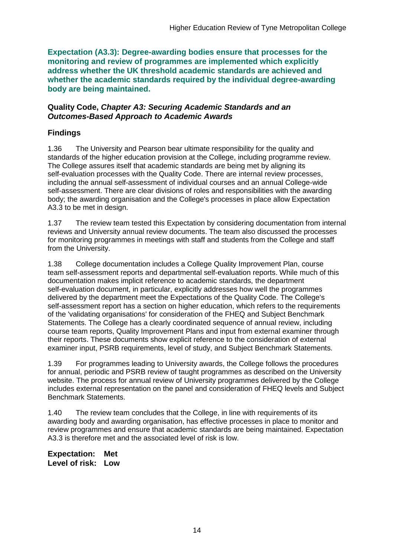**Expectation (A3.3): Degree-awarding bodies ensure that processes for the monitoring and review of programmes are implemented which explicitly address whether the UK threshold academic standards are achieved and whether the academic standards required by the individual degree-awarding body are being maintained.**

#### **Quality Code,** *Chapter A3: Securing Academic Standards and an Outcomes-Based Approach to Academic Awards*

### **Findings**

1.36 The University and Pearson bear ultimate responsibility for the quality and standards of the higher education provision at the College, including programme review. The College assures itself that academic standards are being met by aligning its self-evaluation processes with the Quality Code. There are internal review processes, including the annual self-assessment of individual courses and an annual College-wide self-assessment. There are clear divisions of roles and responsibilities with the awarding body; the awarding organisation and the College's processes in place allow Expectation A3.3 to be met in design.

1.37 The review team tested this Expectation by considering documentation from internal reviews and University annual review documents. The team also discussed the processes for monitoring programmes in meetings with staff and students from the College and staff from the University.

1.38 College documentation includes a College Quality Improvement Plan, course team self-assessment reports and departmental self-evaluation reports. While much of this documentation makes implicit reference to academic standards, the department self-evaluation document, in particular, explicitly addresses how well the programmes delivered by the department meet the Expectations of the Quality Code. The College's self-assessment report has a section on higher education, which refers to the requirements of the 'validating organisations' for consideration of the FHEQ and Subject Benchmark Statements. The College has a clearly coordinated sequence of annual review, including course team reports, Quality Improvement Plans and input from external examiner through their reports. These documents show explicit reference to the consideration of external examiner input, PSRB requirements, level of study, and Subject Benchmark Statements.

1.39 For programmes leading to University awards, the College follows the procedures for annual, periodic and PSRB review of taught programmes as described on the University website. The process for annual review of University programmes delivered by the College includes external representation on the panel and consideration of FHEQ levels and Subject Benchmark Statements.

1.40 The review team concludes that the College, in line with requirements of its awarding body and awarding organisation, has effective processes in place to monitor and review programmes and ensure that academic standards are being maintained. Expectation A3.3 is therefore met and the associated level of risk is low.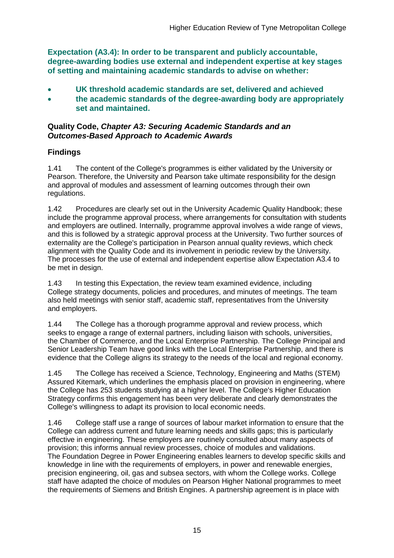**Expectation (A3.4): In order to be transparent and publicly accountable, degree-awarding bodies use external and independent expertise at key stages of setting and maintaining academic standards to advise on whether:**

- **UK threshold academic standards are set, delivered and achieved**
- **the academic standards of the degree-awarding body are appropriately set and maintained.**

#### **Quality Code,** *Chapter A3: Securing Academic Standards and an Outcomes-Based Approach to Academic Awards*

### **Findings**

1.41 The content of the College's programmes is either validated by the University or Pearson. Therefore, the University and Pearson take ultimate responsibility for the design and approval of modules and assessment of learning outcomes through their own regulations.

1.42 Procedures are clearly set out in the University Academic Quality Handbook; these include the programme approval process, where arrangements for consultation with students and employers are outlined. Internally, programme approval involves a wide range of views, and this is followed by a strategic approval process at the University. Two further sources of externality are the College's participation in Pearson annual quality reviews, which check alignment with the Quality Code and its involvement in periodic review by the University. The processes for the use of external and independent expertise allow Expectation A3.4 to be met in design.

1.43 In testing this Expectation, the review team examined evidence, including College strategy documents, policies and procedures, and minutes of meetings. The team also held meetings with senior staff, academic staff, representatives from the University and employers.

1.44 The College has a thorough programme approval and review process, which seeks to engage a range of external partners, including liaison with schools, universities, the Chamber of Commerce, and the Local Enterprise Partnership. The College Principal and Senior Leadership Team have good links with the Local Enterprise Partnership, and there is evidence that the College aligns its strategy to the needs of the local and regional economy.

1.45 The College has received a Science, Technology, Engineering and Maths (STEM) Assured Kitemark, which underlines the emphasis placed on provision in engineering, where the College has 253 students studying at a higher level. The College's Higher Education Strategy confirms this engagement has been very deliberate and clearly demonstrates the College's willingness to adapt its provision to local economic needs.

1.46 College staff use a range of sources of labour market information to ensure that the College can address current and future learning needs and skills gaps; this is particularly effective in engineering. These employers are routinely consulted about many aspects of provision; this informs annual review processes, choice of modules and validations. The Foundation Degree in Power Engineering enables learners to develop specific skills and knowledge in line with the requirements of employers, in power and renewable energies, precision engineering, oil, gas and subsea sectors, with whom the College works. College staff have adapted the choice of modules on Pearson Higher National programmes to meet the requirements of Siemens and British Engines. A partnership agreement is in place with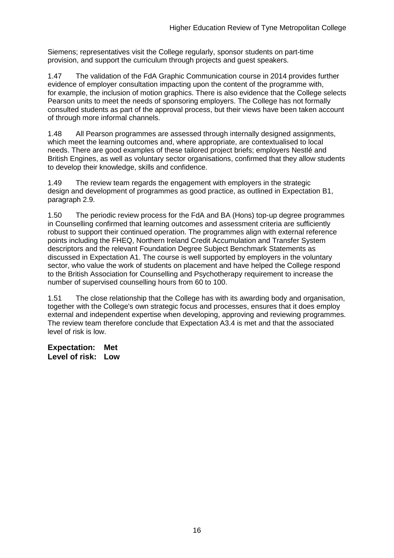Siemens; representatives visit the College regularly, sponsor students on part-time provision, and support the curriculum through projects and guest speakers.

1.47 The validation of the FdA Graphic Communication course in 2014 provides further evidence of employer consultation impacting upon the content of the programme with, for example, the inclusion of motion graphics. There is also evidence that the College selects Pearson units to meet the needs of sponsoring employers. The College has not formally consulted students as part of the approval process, but their views have been taken account of through more informal channels.

1.48 All Pearson programmes are assessed through internally designed assignments, which meet the learning outcomes and, where appropriate, are contextualised to local needs. There are good examples of these tailored project briefs; employers Nestlé and British Engines, as well as voluntary sector organisations, confirmed that they allow students to develop their knowledge, skills and confidence.

1.49 The review team regards the engagement with employers in the strategic design and development of programmes as good practice, as outlined in Expectation B1, paragraph 2.9.

1.50 The periodic review process for the FdA and BA (Hons) top-up degree programmes in Counselling confirmed that learning outcomes and assessment criteria are sufficiently robust to support their continued operation. The programmes align with external reference points including the FHEQ, Northern Ireland Credit Accumulation and Transfer System descriptors and the relevant Foundation Degree Subject Benchmark Statements as discussed in Expectation A1. The course is well supported by employers in the voluntary sector, who value the work of students on placement and have helped the College respond to the British Association for Counselling and Psychotherapy requirement to increase the number of supervised counselling hours from 60 to 100.

1.51 The close relationship that the College has with its awarding body and organisation, together with the College's own strategic focus and processes, ensures that it does employ external and independent expertise when developing, approving and reviewing programmes. The review team therefore conclude that Expectation A3.4 is met and that the associated level of risk is low.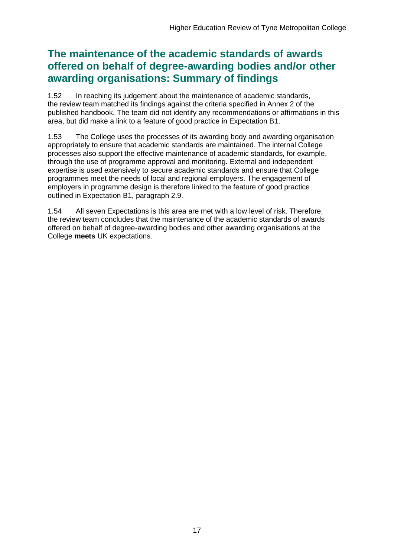## **The maintenance of the academic standards of awards offered on behalf of degree-awarding bodies and/or other awarding organisations: Summary of findings**

1.52 In reaching its judgement about the maintenance of academic standards, the review team matched its findings against the criteria specified in Annex 2 of the published handbook. The team did not identify any recommendations or affirmations in this area, but did make a link to a feature of good practice in Expectation B1.

1.53 The College uses the processes of its awarding body and awarding organisation appropriately to ensure that academic standards are maintained. The internal College processes also support the effective maintenance of academic standards, for example, through the use of programme approval and monitoring. External and independent expertise is used extensively to secure academic standards and ensure that College programmes meet the needs of local and regional employers. The engagement of employers in programme design is therefore linked to the feature of good practice outlined in Expectation B1, paragraph 2.9.

1.54 All seven Expectations is this area are met with a low level of risk. Therefore, the review team concludes that the maintenance of the academic standards of awards offered on behalf of degree-awarding bodies and other awarding organisations at the College **meets** UK expectations.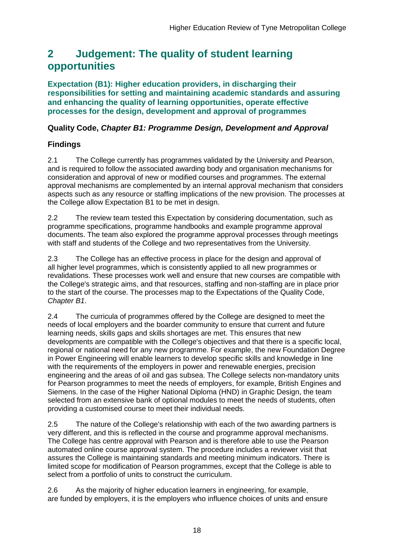## <span id="page-18-0"></span>**2 Judgement: The quality of student learning opportunities**

**Expectation (B1): Higher education providers, in discharging their responsibilities for setting and maintaining academic standards and assuring and enhancing the quality of learning opportunities, operate effective processes for the design, development and approval of programmes**

### **Quality Code,** *Chapter B1: Programme Design, Development and Approval*

## **Findings**

2.1 The College currently has programmes validated by the University and Pearson, and is required to follow the associated awarding body and organisation mechanisms for consideration and approval of new or modified courses and programmes. The external approval mechanisms are complemented by an internal approval mechanism that considers aspects such as any resource or staffing implications of the new provision. The processes at the College allow Expectation B1 to be met in design.

2.2 The review team tested this Expectation by considering documentation, such as programme specifications, programme handbooks and example programme approval documents. The team also explored the programme approval processes through meetings with staff and students of the College and two representatives from the University.

2.3 The College has an effective process in place for the design and approval of all higher level programmes, which is consistently applied to all new programmes or revalidations. These processes work well and ensure that new courses are compatible with the College's strategic aims, and that resources, staffing and non-staffing are in place prior to the start of the course. The processes map to the Expectations of the Quality Code, *Chapter B1*.

2.4 The curricula of programmes offered by the College are designed to meet the needs of local employers and the boarder community to ensure that current and future learning needs, skills gaps and skills shortages are met. This ensures that new developments are compatible with the College's objectives and that there is a specific local, regional or national need for any new programme. For example, the new Foundation Degree in Power Engineering will enable learners to develop specific skills and knowledge in line with the requirements of the employers in power and renewable energies, precision engineering and the areas of oil and gas subsea. The College selects non-mandatory units for Pearson programmes to meet the needs of employers, for example, British Engines and Siemens. In the case of the Higher National Diploma (HND) in Graphic Design, the team selected from an extensive bank of optional modules to meet the needs of students, often providing a customised course to meet their individual needs.

2.5 The nature of the College's relationship with each of the two awarding partners is very different, and this is reflected in the course and programme approval mechanisms. The College has centre approval with Pearson and is therefore able to use the Pearson automated online course approval system. The procedure includes a reviewer visit that assures the College is maintaining standards and meeting minimum indicators. There is limited scope for modification of Pearson programmes, except that the College is able to select from a portfolio of units to construct the curriculum.

2.6 As the majority of higher education learners in engineering, for example, are funded by employers, it is the employers who influence choices of units and ensure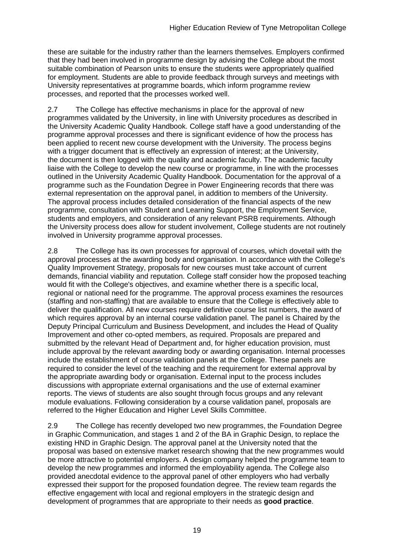these are suitable for the industry rather than the learners themselves. Employers confirmed that they had been involved in programme design by advising the College about the most suitable combination of Pearson units to ensure the students were appropriately qualified for employment. Students are able to provide feedback through surveys and meetings with University representatives at programme boards, which inform programme review processes, and reported that the processes worked well.

2.7 The College has effective mechanisms in place for the approval of new programmes validated by the University, in line with University procedures as described in the University Academic Quality Handbook. College staff have a good understanding of the programme approval processes and there is significant evidence of how the process has been applied to recent new course development with the University. The process begins with a trigger document that is effectively an expression of interest; at the University, the document is then logged with the quality and academic faculty. The academic faculty liaise with the College to develop the new course or programme, in line with the processes outlined in the University Academic Quality Handbook. Documentation for the approval of a programme such as the Foundation Degree in Power Engineering records that there was external representation on the approval panel, in addition to members of the University. The approval process includes detailed consideration of the financial aspects of the new programme, consultation with Student and Learning Support, the Employment Service, students and employers, and consideration of any relevant PSRB requirements. Although the University process does allow for student involvement, College students are not routinely involved in University programme approval processes.

2.8 The College has its own processes for approval of courses, which dovetail with the approval processes at the awarding body and organisation. In accordance with the College's Quality Improvement Strategy, proposals for new courses must take account of current demands, financial viability and reputation. College staff consider how the proposed teaching would fit with the College's objectives, and examine whether there is a specific local, regional or national need for the programme. The approval process examines the resources (staffing and non-staffing) that are available to ensure that the College is effectively able to deliver the qualification. All new courses require definitive course list numbers, the award of which requires approval by an internal course validation panel. The panel is Chaired by the Deputy Principal Curriculum and Business Development, and includes the Head of Quality Improvement and other co-opted members, as required. Proposals are prepared and submitted by the relevant Head of Department and, for higher education provision, must include approval by the relevant awarding body or awarding organisation. Internal processes include the establishment of course validation panels at the College. These panels are required to consider the level of the teaching and the requirement for external approval by the appropriate awarding body or organisation. External input to the process includes discussions with appropriate external organisations and the use of external examiner reports. The views of students are also sought through focus groups and any relevant module evaluations. Following consideration by a course validation panel, proposals are referred to the Higher Education and Higher Level Skills Committee.

2.9 The College has recently developed two new programmes, the Foundation Degree in Graphic Communication, and stages 1 and 2 of the BA in Graphic Design, to replace the existing HND in Graphic Design. The approval panel at the University noted that the proposal was based on extensive market research showing that the new programmes would be more attractive to potential employers. A design company helped the programme team to develop the new programmes and informed the employability agenda. The College also provided anecdotal evidence to the approval panel of other employers who had verbally expressed their support for the proposed foundation degree. The review team regards the effective engagement with local and regional employers in the strategic design and development of programmes that are appropriate to their needs as **good practice**.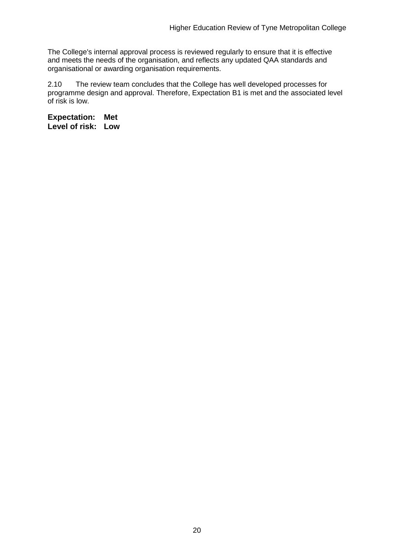The College's internal approval process is reviewed regularly to ensure that it is effective and meets the needs of the organisation, and reflects any updated QAA standards and organisational or awarding organisation requirements.

2.10 The review team concludes that the College has well developed processes for programme design and approval. Therefore, Expectation B1 is met and the associated level of risk is low.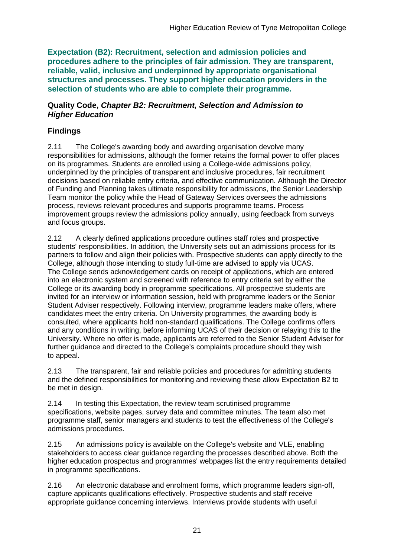**Expectation (B2): Recruitment, selection and admission policies and procedures adhere to the principles of fair admission. They are transparent, reliable, valid, inclusive and underpinned by appropriate organisational structures and processes. They support higher education providers in the selection of students who are able to complete their programme.**

#### **Quality Code,** *Chapter B2: Recruitment, Selection and Admission to Higher Education*

### **Findings**

2.11 The College's awarding body and awarding organisation devolve many responsibilities for admissions, although the former retains the formal power to offer places on its programmes. Students are enrolled using a College-wide admissions policy, underpinned by the principles of transparent and inclusive procedures, fair recruitment decisions based on reliable entry criteria, and effective communication. Although the Director of Funding and Planning takes ultimate responsibility for admissions, the Senior Leadership Team monitor the policy while the Head of Gateway Services oversees the admissions process, reviews relevant procedures and supports programme teams. Process improvement groups review the admissions policy annually, using feedback from surveys and focus groups.

2.12 A clearly defined applications procedure outlines staff roles and prospective students' responsibilities. In addition, the University sets out an admissions process for its partners to follow and align their policies with. Prospective students can apply directly to the College, although those intending to study full-time are advised to apply via UCAS. The College sends acknowledgement cards on receipt of applications, which are entered into an electronic system and screened with reference to entry criteria set by either the College or its awarding body in programme specifications. All prospective students are invited for an interview or information session, held with programme leaders or the Senior Student Adviser respectively. Following interview, programme leaders make offers, where candidates meet the entry criteria. On University programmes, the awarding body is consulted, where applicants hold non-standard qualifications. The College confirms offers and any conditions in writing, before informing UCAS of their decision or relaying this to the University. Where no offer is made, applicants are referred to the Senior Student Adviser for further guidance and directed to the College's complaints procedure should they wish to appeal.

2.13 The transparent, fair and reliable policies and procedures for admitting students and the defined responsibilities for monitoring and reviewing these allow Expectation B2 to be met in design.

2.14 In testing this Expectation, the review team scrutinised programme specifications, website pages, survey data and committee minutes. The team also met programme staff, senior managers and students to test the effectiveness of the College's admissions procedures.

2.15 An admissions policy is available on the College's website and VLE, enabling stakeholders to access clear guidance regarding the processes described above. Both the higher education prospectus and programmes' webpages list the entry requirements detailed in programme specifications.

2.16 An electronic database and enrolment forms, which programme leaders sign-off, capture applicants qualifications effectively. Prospective students and staff receive appropriate guidance concerning interviews. Interviews provide students with useful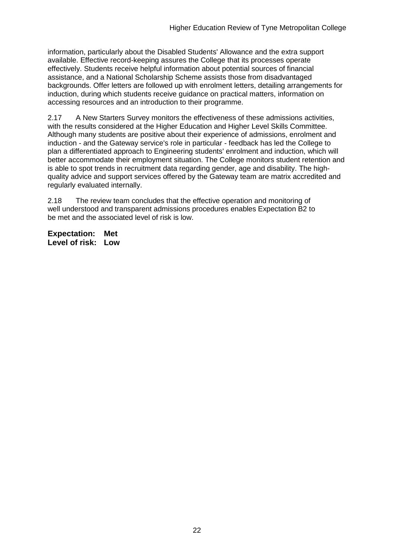information, particularly about the Disabled Students' Allowance and the extra support available. Effective record-keeping assures the College that its processes operate effectively. Students receive helpful information about potential sources of financial assistance, and a National Scholarship Scheme assists those from disadvantaged backgrounds. Offer letters are followed up with enrolment letters, detailing arrangements for induction, during which students receive guidance on practical matters, information on accessing resources and an introduction to their programme.

2.17 A New Starters Survey monitors the effectiveness of these admissions activities, with the results considered at the Higher Education and Higher Level Skills Committee. Although many students are positive about their experience of admissions, enrolment and induction - and the Gateway service's role in particular - feedback has led the College to plan a differentiated approach to Engineering students' enrolment and induction, which will better accommodate their employment situation. The College monitors student retention and is able to spot trends in recruitment data regarding gender, age and disability. The highquality advice and support services offered by the Gateway team are matrix accredited and regularly evaluated internally.

2.18 The review team concludes that the effective operation and monitoring of well understood and transparent admissions procedures enables Expectation B2 to be met and the associated level of risk is low.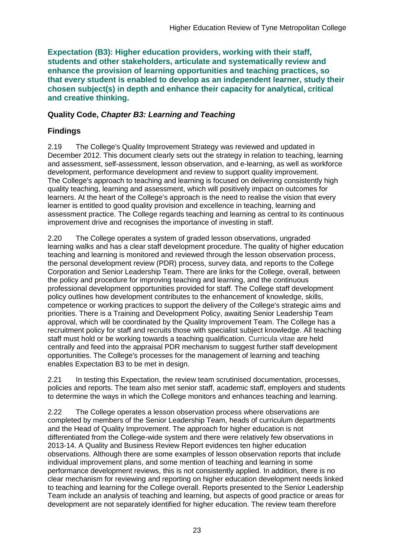**Expectation (B3): Higher education providers, working with their staff, students and other stakeholders, articulate and systematically review and enhance the provision of learning opportunities and teaching practices, so that every student is enabled to develop as an independent learner, study their chosen subject(s) in depth and enhance their capacity for analytical, critical and creative thinking.**

### **Quality Code,** *Chapter B3: Learning and Teaching*

## **Findings**

2.19 The College's Quality Improvement Strategy was reviewed and updated in December 2012. This document clearly sets out the strategy in relation to teaching, learning and assessment, self-assessment, lesson observation, and e-learning, as well as workforce development, performance development and review to support quality improvement. The College's approach to teaching and learning is focused on delivering consistently high quality teaching, learning and assessment, which will positively impact on outcomes for learners. At the heart of the College's approach is the need to realise the vision that every learner is entitled to good quality provision and excellence in teaching, learning and assessment practice. The College regards teaching and learning as central to its continuous improvement drive and recognises the importance of investing in staff.

2.20 The College operates a system of graded lesson observations, ungraded learning walks and has a clear staff development procedure. The quality of higher education teaching and learning is monitored and reviewed through the lesson observation process, the personal development review (PDR) process, survey data, and reports to the College Corporation and Senior Leadership Team. There are links for the College, overall, between the policy and procedure for improving teaching and learning, and the continuous professional development opportunities provided for staff. The College staff development policy outlines how development contributes to the enhancement of knowledge, skills, competence or working practices to support the delivery of the College's strategic aims and priorities. There is a Training and Development Policy, awaiting Senior Leadership Team approval, which will be coordinated by the Quality Improvement Team. The College has a recruitment policy for staff and recruits those with specialist subject knowledge. All teaching staff must hold or be working towards a teaching qualification. Curricula vitae are held centrally and feed into the appraisal PDR mechanism to suggest further staff development opportunities. The College's processes for the management of learning and teaching enables Expectation B3 to be met in design.

2.21 In testing this Expectation, the review team scrutinised documentation, processes, policies and reports. The team also met senior staff, academic staff, employers and students to determine the ways in which the College monitors and enhances teaching and learning.

2.22 The College operates a lesson observation process where observations are completed by members of the Senior Leadership Team, heads of curriculum departments and the Head of Quality Improvement. The approach for higher education is not differentiated from the College-wide system and there were relatively few observations in 2013-14. A Quality and Business Review Report evidences ten higher education observations. Although there are some examples of lesson observation reports that include individual improvement plans, and some mention of teaching and learning in some performance development reviews, this is not consistently applied. In addition, there is no clear mechanism for reviewing and reporting on higher education development needs linked to teaching and learning for the College overall. Reports presented to the Senior Leadership Team include an analysis of teaching and learning, but aspects of good practice or areas for development are not separately identified for higher education. The review team therefore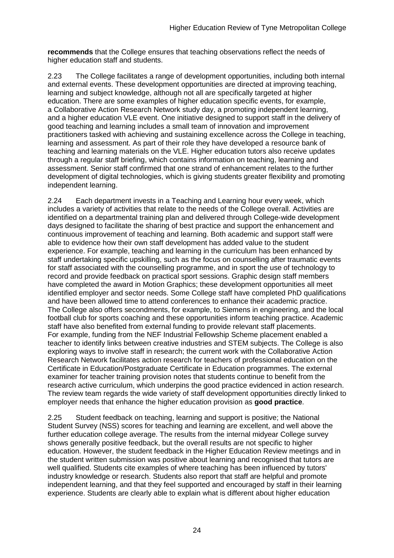**recommends** that the College ensures that teaching observations reflect the needs of higher education staff and students.

2.23 The College facilitates a range of development opportunities, including both internal and external events. These development opportunities are directed at improving teaching, learning and subject knowledge, although not all are specifically targeted at higher education. There are some examples of higher education specific events, for example, a Collaborative Action Research Network study day, a promoting independent learning, and a higher education VLE event. One initiative designed to support staff in the delivery of good teaching and learning includes a small team of innovation and improvement practitioners tasked with achieving and sustaining excellence across the College in teaching, learning and assessment. As part of their role they have developed a resource bank of teaching and learning materials on the VLE. Higher education tutors also receive updates through a regular staff briefing, which contains information on teaching, learning and assessment. Senior staff confirmed that one strand of enhancement relates to the further development of digital technologies, which is giving students greater flexibility and promoting independent learning.

2.24 Each department invests in a Teaching and Learning hour every week, which includes a variety of activities that relate to the needs of the College overall. Activities are identified on a departmental training plan and delivered through College-wide development days designed to facilitate the sharing of best practice and support the enhancement and continuous improvement of teaching and learning. Both academic and support staff were able to evidence how their own staff development has added value to the student experience. For example, teaching and learning in the curriculum has been enhanced by staff undertaking specific upskilling, such as the focus on counselling after traumatic events for staff associated with the counselling programme, and in sport the use of technology to record and provide feedback on practical sport sessions. Graphic design staff members have completed the award in Motion Graphics; these development opportunities all meet identified employer and sector needs. Some College staff have completed PhD qualifications and have been allowed time to attend conferences to enhance their academic practice. The College also offers secondments, for example, to Siemens in engineering, and the local football club for sports coaching and these opportunities inform teaching practice. Academic staff have also benefited from external funding to provide relevant staff placements. For example, funding from the NEF Industrial Fellowship Scheme placement enabled a teacher to identify links between creative industries and STEM subjects. The College is also exploring ways to involve staff in research; the current work with the Collaborative Action Research Network facilitates action research for teachers of professional education on the Certificate in Education/Postgraduate Certificate in Education programmes. The external examiner for teacher training provision notes that students continue to benefit from the research active curriculum, which underpins the good practice evidenced in action research. The review team regards the wide variety of staff development opportunities directly linked to employer needs that enhance the higher education provision as **good practice**.

2.25 Student feedback on teaching, learning and support is positive; the National Student Survey (NSS) scores for teaching and learning are excellent, and well above the further education college average. The results from the internal midyear College survey shows generally positive feedback, but the overall results are not specific to higher education. However, the student feedback in the Higher Education Review meetings and in the student written submission was positive about learning and recognised that tutors are well qualified. Students cite examples of where teaching has been influenced by tutors' industry knowledge or research. Students also report that staff are helpful and promote independent learning, and that they feel supported and encouraged by staff in their learning experience. Students are clearly able to explain what is different about higher education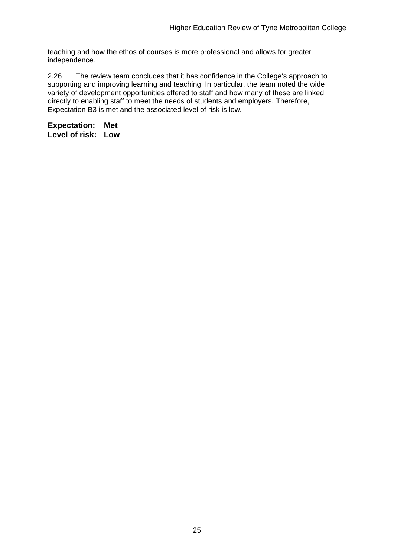teaching and how the ethos of courses is more professional and allows for greater independence.

2.26 The review team concludes that it has confidence in the College's approach to supporting and improving learning and teaching. In particular, the team noted the wide variety of development opportunities offered to staff and how many of these are linked directly to enabling staff to meet the needs of students and employers. Therefore, Expectation B3 is met and the associated level of risk is low.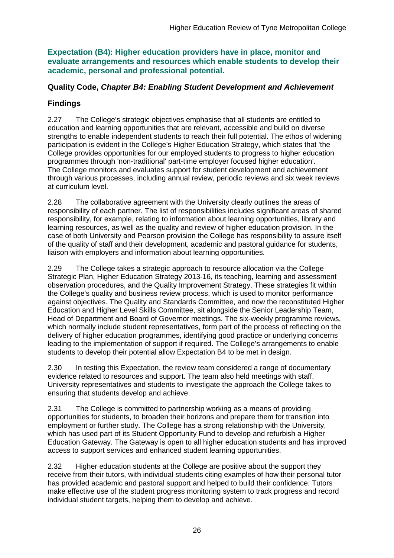**Expectation (B4): Higher education providers have in place, monitor and evaluate arrangements and resources which enable students to develop their academic, personal and professional potential.**

### **Quality Code,** *Chapter B4: Enabling Student Development and Achievement*

## **Findings**

2.27 The College's strategic objectives emphasise that all students are entitled to education and learning opportunities that are relevant, accessible and build on diverse strengths to enable independent students to reach their full potential. The ethos of widening participation is evident in the College's Higher Education Strategy, which states that 'the College provides opportunities for our employed students to progress to higher education programmes through 'non-traditional' part-time employer focused higher education'. The College monitors and evaluates support for student development and achievement through various processes, including annual review, periodic reviews and six week reviews at curriculum level.

2.28 The collaborative agreement with the University clearly outlines the areas of responsibility of each partner. The list of responsibilities includes significant areas of shared responsibility, for example, relating to information about learning opportunities, library and learning resources, as well as the quality and review of higher education provision. In the case of both University and Pearson provision the College has responsibility to assure itself of the quality of staff and their development, academic and pastoral guidance for students, liaison with employers and information about learning opportunities.

2.29 The College takes a strategic approach to resource allocation via the College Strategic Plan, Higher Education Strategy 2013-16, its teaching, learning and assessment observation procedures, and the Quality Improvement Strategy. These strategies fit within the College's quality and business review process, which is used to monitor performance against objectives. The Quality and Standards Committee, and now the reconstituted Higher Education and Higher Level Skills Committee, sit alongside the Senior Leadership Team, Head of Department and Board of Governor meetings. The six-weekly programme reviews, which normally include student representatives, form part of the process of reflecting on the delivery of higher education programmes, identifying good practice or underlying concerns leading to the implementation of support if required. The College's arrangements to enable students to develop their potential allow Expectation B4 to be met in design.

2.30 In testing this Expectation, the review team considered a range of documentary evidence related to resources and support. The team also held meetings with staff, University representatives and students to investigate the approach the College takes to ensuring that students develop and achieve.

2.31 The College is committed to partnership working as a means of providing opportunities for students, to broaden their horizons and prepare them for transition into employment or further study. The College has a strong relationship with the University, which has used part of its Student Opportunity Fund to develop and refurbish a Higher Education Gateway. The Gateway is open to all higher education students and has improved access to support services and enhanced student learning opportunities.

2.32 Higher education students at the College are positive about the support they receive from their tutors, with individual students citing examples of how their personal tutor has provided academic and pastoral support and helped to build their confidence. Tutors make effective use of the student progress monitoring system to track progress and record individual student targets, helping them to develop and achieve.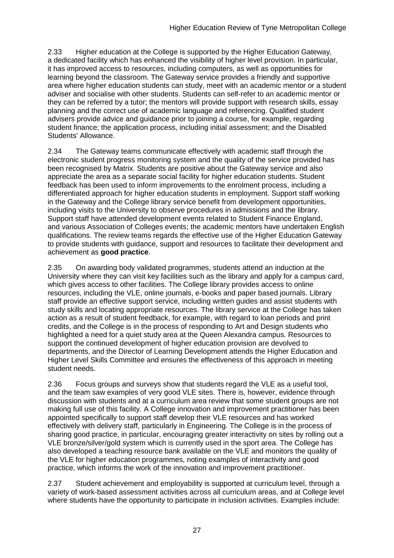2.33 Higher education at the College is supported by the Higher Education Gateway, a dedicated facility which has enhanced the visibility of higher level provision. In particular, it has improved access to resources, including computers, as well as opportunities for learning beyond the classroom. The Gateway service provides a friendly and supportive area where higher education students can study, meet with an academic mentor or a student adviser and socialise with other students. Students can self-refer to an academic mentor or they can be referred by a tutor; the mentors will provide support with research skills, essay planning and the correct use of academic language and referencing. Qualified student advisers provide advice and guidance prior to joining a course, for example, regarding student finance; the application process, including initial assessment; and the Disabled Students' Allowance.

2.34 The Gateway teams communicate effectively with academic staff through the electronic student progress monitoring system and the quality of the service provided has been recognised by Matrix. Students are positive about the Gateway service and also appreciate the area as a separate social facility for higher education students. Student feedback has been used to inform improvements to the enrolment process, including a differentiated approach for higher education students in employment. Support staff working in the Gateway and the College library service benefit from development opportunities, including visits to the University to observe procedures in admissions and the library. Support staff have attended development events related to Student Finance England, and various Association of Colleges events; the academic mentors have undertaken English qualifications. The review teams regards the effective use of the Higher Education Gateway to provide students with guidance, support and resources to facilitate their development and achievement as **good practice**.

2.35 On awarding body validated programmes, students attend an induction at the University where they can visit key facilities such as the library and apply for a campus card, which gives access to other facilities. The College library provides access to online resources, including the VLE, online journals, e-books and paper based journals. Library staff provide an effective support service, including written guides and assist students with study skills and locating appropriate resources. The library service at the College has taken action as a result of student feedback, for example, with regard to loan periods and print credits, and the College is in the process of responding to Art and Design students who highlighted a need for a quiet study area at the Queen Alexandra campus. Resources to support the continued development of higher education provision are devolved to departments, and the Director of Learning Development attends the Higher Education and Higher Level Skills Committee and ensures the effectiveness of this approach in meeting student needs.

2.36 Focus groups and surveys show that students regard the VLE as a useful tool, and the team saw examples of very good VLE sites. There is, however, evidence through discussion with students and at a curriculum area review that some student groups are not making full use of this facility. A College innovation and improvement practitioner has been appointed specifically to support staff develop their VLE resources and has worked effectively with delivery staff, particularly in Engineering. The College is in the process of sharing good practice, in particular, encouraging greater interactivity on sites by rolling out a VLE bronze/silver/gold system which is currently used in the sport area. The College has also developed a teaching resource bank available on the VLE and monitors the quality of the VLE for higher education programmes, noting examples of interactivity and good practice, which informs the work of the innovation and improvement practitioner.

2.37 Student achievement and employability is supported at curriculum level, through a variety of work-based assessment activities across all curriculum areas, and at College level where students have the opportunity to participate in inclusion activities. Examples include: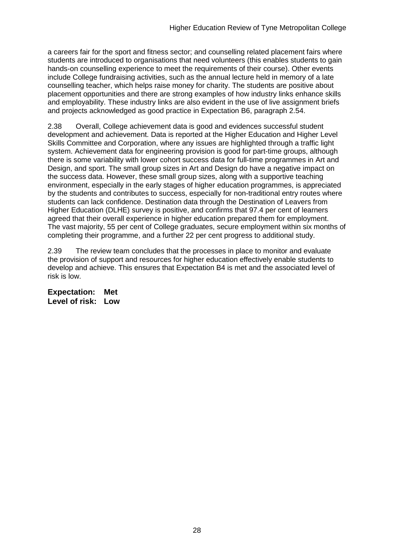a careers fair for the sport and fitness sector; and counselling related placement fairs where students are introduced to organisations that need volunteers (this enables students to gain hands-on counselling experience to meet the requirements of their course). Other events include College fundraising activities, such as the annual lecture held in memory of a late counselling teacher, which helps raise money for charity. The students are positive about placement opportunities and there are strong examples of how industry links enhance skills and employability. These industry links are also evident in the use of live assignment briefs and projects acknowledged as good practice in Expectation B6, paragraph 2.54.

2.38 Overall, College achievement data is good and evidences successful student development and achievement. Data is reported at the Higher Education and Higher Level Skills Committee and Corporation, where any issues are highlighted through a traffic light system. Achievement data for engineering provision is good for part-time groups, although there is some variability with lower cohort success data for full-time programmes in Art and Design, and sport. The small group sizes in Art and Design do have a negative impact on the success data. However, these small group sizes, along with a supportive teaching environment, especially in the early stages of higher education programmes, is appreciated by the students and contributes to success, especially for non-traditional entry routes where students can lack confidence. Destination data through the Destination of Leavers from Higher Education (DLHE) survey is positive, and confirms that 97.4 per cent of learners agreed that their overall experience in higher education prepared them for employment. The vast majority, 55 per cent of College graduates, secure employment within six months of completing their programme, and a further 22 per cent progress to additional study.

2.39 The review team concludes that the processes in place to monitor and evaluate the provision of support and resources for higher education effectively enable students to develop and achieve. This ensures that Expectation B4 is met and the associated level of risk is low.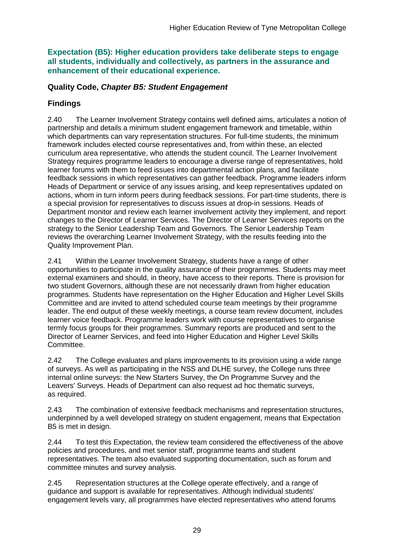**Expectation (B5): Higher education providers take deliberate steps to engage all students, individually and collectively, as partners in the assurance and enhancement of their educational experience.**

#### **Quality Code,** *Chapter B5: Student Engagement*

### **Findings**

2.40 The Learner Involvement Strategy contains well defined aims, articulates a notion of partnership and details a minimum student engagement framework and timetable, within which departments can vary representation structures. For full-time students, the minimum framework includes elected course representatives and, from within these, an elected curriculum area representative, who attends the student council. The Learner Involvement Strategy requires programme leaders to encourage a diverse range of representatives, hold learner forums with them to feed issues into departmental action plans, and facilitate feedback sessions in which representatives can gather feedback. Programme leaders inform Heads of Department or service of any issues arising, and keep representatives updated on actions, whom in turn inform peers during feedback sessions. For part-time students, there is a special provision for representatives to discuss issues at drop-in sessions. Heads of Department monitor and review each learner involvement activity they implement, and report changes to the Director of Learner Services. The Director of Learner Services reports on the strategy to the Senior Leadership Team and Governors. The Senior Leadership Team reviews the overarching Learner Involvement Strategy, with the results feeding into the Quality Improvement Plan.

2.41 Within the Learner Involvement Strategy, students have a range of other opportunities to participate in the quality assurance of their programmes. Students may meet external examiners and should, in theory, have access to their reports. There is provision for two student Governors, although these are not necessarily drawn from higher education programmes. Students have representation on the Higher Education and Higher Level Skills Committee and are invited to attend scheduled course team meetings by their programme leader. The end output of these weekly meetings, a course team review document, includes learner voice feedback. Programme leaders work with course representatives to organise termly focus groups for their programmes. Summary reports are produced and sent to the Director of Learner Services, and feed into Higher Education and Higher Level Skills Committee.

2.42 The College evaluates and plans improvements to its provision using a wide range of surveys. As well as participating in the NSS and DLHE survey, the College runs three internal online surveys: the New Starters Survey, the On Programme Survey and the Leavers' Surveys. Heads of Department can also request ad hoc thematic surveys, as required.

2.43 The combination of extensive feedback mechanisms and representation structures, underpinned by a well developed strategy on student engagement, means that Expectation B5 is met in design.

2.44 To test this Expectation, the review team considered the effectiveness of the above policies and procedures, and met senior staff, programme teams and student representatives. The team also evaluated supporting documentation, such as forum and committee minutes and survey analysis.

2.45 Representation structures at the College operate effectively, and a range of guidance and support is available for representatives. Although individual students' engagement levels vary, all programmes have elected representatives who attend forums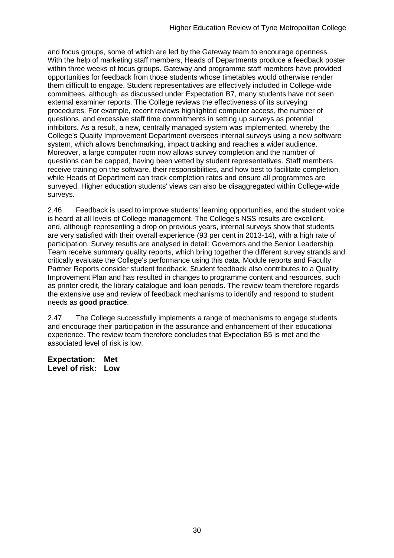and focus groups, some of which are led by the Gateway team to encourage openness. With the help of marketing staff members, Heads of Departments produce a feedback poster within three weeks of focus groups. Gateway and programme staff members have provided opportunities for feedback from those students whose timetables would otherwise render them difficult to engage. Student representatives are effectively included in College-wide committees, although, as discussed under Expectation B7, many students have not seen external examiner reports. The College reviews the effectiveness of its surveying procedures. For example, recent reviews highlighted computer access, the number of questions, and excessive staff time commitments in setting up surveys as potential inhibitors. As a result, a new, centrally managed system was implemented, whereby the College's Quality Improvement Department oversees internal surveys using a new software system, which allows benchmarking, impact tracking and reaches a wider audience. Moreover, a large computer room now allows survey completion and the number of questions can be capped, having been vetted by student representatives. Staff members receive training on the software, their responsibilities, and how best to facilitate completion, while Heads of Department can track completion rates and ensure all programmes are surveyed. Higher education students' views can also be disaggregated within College-wide surveys.

2.46 Feedback is used to improve students' learning opportunities, and the student voice is heard at all levels of College management. The College's NSS results are excellent, and, although representing a drop on previous years, internal surveys show that students are very satisfied with their overall experience (93 per cent in 2013-14), with a high rate of participation. Survey results are analysed in detail; Governors and the Senior Leadership Team receive summary quality reports, which bring together the different survey strands and critically evaluate the College's performance using this data. Module reports and Faculty Partner Reports consider student feedback. Student feedback also contributes to a Quality Improvement Plan and has resulted in changes to programme content and resources, such as printer credit, the library catalogue and loan periods. The review team therefore regards the extensive use and review of feedback mechanisms to identify and respond to student needs as **good practice**.

2.47 The College successfully implements a range of mechanisms to engage students and encourage their participation in the assurance and enhancement of their educational experience. The review team therefore concludes that Expectation B5 is met and the associated level of risk is low.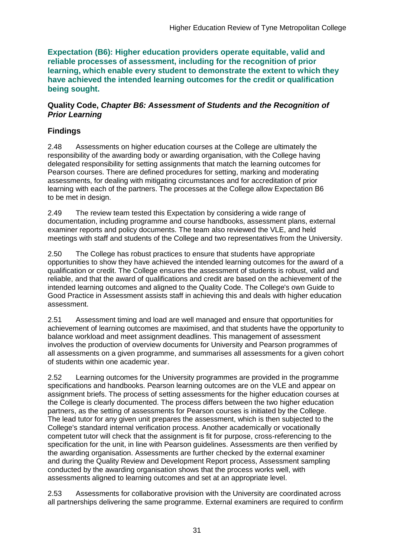**Expectation (B6): Higher education providers operate equitable, valid and reliable processes of assessment, including for the recognition of prior learning, which enable every student to demonstrate the extent to which they have achieved the intended learning outcomes for the credit or qualification being sought.**

#### **Quality Code,** *Chapter B6: Assessment of Students and the Recognition of Prior Learning*

### **Findings**

2.48 Assessments on higher education courses at the College are ultimately the responsibility of the awarding body or awarding organisation, with the College having delegated responsibility for setting assignments that match the learning outcomes for Pearson courses. There are defined procedures for setting, marking and moderating assessments, for dealing with mitigating circumstances and for accreditation of prior learning with each of the partners. The processes at the College allow Expectation B6 to be met in design.

2.49 The review team tested this Expectation by considering a wide range of documentation, including programme and course handbooks, assessment plans, external examiner reports and policy documents. The team also reviewed the VLE, and held meetings with staff and students of the College and two representatives from the University.

2.50 The College has robust practices to ensure that students have appropriate opportunities to show they have achieved the intended learning outcomes for the award of a qualification or credit. The College ensures the assessment of students is robust, valid and reliable, and that the award of qualifications and credit are based on the achievement of the intended learning outcomes and aligned to the Quality Code. The College's own Guide to Good Practice in Assessment assists staff in achieving this and deals with higher education assessment.

2.51 Assessment timing and load are well managed and ensure that opportunities for achievement of learning outcomes are maximised, and that students have the opportunity to balance workload and meet assignment deadlines. This management of assessment involves the production of overview documents for University and Pearson programmes of all assessments on a given programme, and summarises all assessments for a given cohort of students within one academic year.

2.52 Learning outcomes for the University programmes are provided in the programme specifications and handbooks. Pearson learning outcomes are on the VLE and appear on assignment briefs. The process of setting assessments for the higher education courses at the College is clearly documented. The process differs between the two higher education partners, as the setting of assessments for Pearson courses is initiated by the College. The lead tutor for any given unit prepares the assessment, which is then subjected to the College's standard internal verification process. Another academically or vocationally competent tutor will check that the assignment is fit for purpose, cross-referencing to the specification for the unit, in line with Pearson guidelines. Assessments are then verified by the awarding organisation. Assessments are further checked by the external examiner and during the Quality Review and Development Report process, Assessment sampling conducted by the awarding organisation shows that the process works well, with assessments aligned to learning outcomes and set at an appropriate level.

2.53 Assessments for collaborative provision with the University are coordinated across all partnerships delivering the same programme. External examiners are required to confirm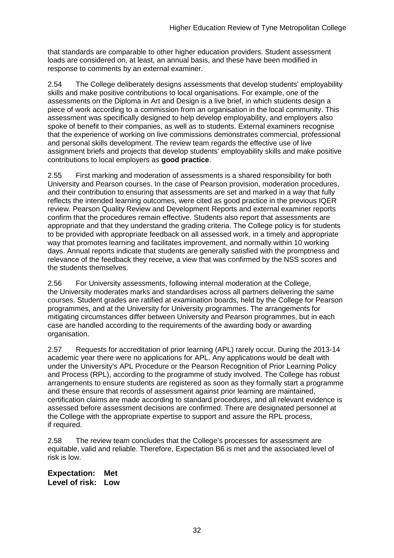that standards are comparable to other higher education providers. Student assessment loads are considered on, at least, an annual basis, and these have been modified in response to comments by an external examiner.

2.54 The College deliberately designs assessments that develop students' employability skills and make positive contributions to local organisations. For example, one of the assessments on the Diploma in Art and Design is a live brief, in which students design a piece of work according to a commission from an organisation in the local community. This assessment was specifically designed to help develop employability, and employers also spoke of benefit to their companies, as well as to students. External examiners recognise that the experience of working on live commissions demonstrates commercial, professional and personal skills development. The review team regards the effective use of live assignment briefs and projects that develop students' employability skills and make positive contributions to local employers as **good practice**.

2.55 First marking and moderation of assessments is a shared responsibility for both University and Pearson courses. In the case of Pearson provision, moderation procedures, and their contribution to ensuring that assessments are set and marked in a way that fully reflects the intended learning outcomes, were cited as good practice in the previous IQER review. Pearson Quality Review and Development Reports and external examiner reports confirm that the procedures remain effective. Students also report that assessments are appropriate and that they understand the grading criteria. The College policy is for students to be provided with appropriate feedback on all assessed work, in a timely and appropriate way that promotes learning and facilitates improvement, and normally within 10 working days. Annual reports indicate that students are generally satisfied with the promptness and relevance of the feedback they receive, a view that was confirmed by the NSS scores and the students themselves.

2.56 For University assessments, following internal moderation at the College, the University moderates marks and standardises across all partners delivering the same courses. Student grades are ratified at examination boards, held by the College for Pearson programmes, and at the University for University programmes. The arrangements for mitigating circumstances differ between University and Pearson programmes, but in each case are handled according to the requirements of the awarding body or awarding organisation.

2.57 Requests for accreditation of prior learning (APL) rarely occur. During the 2013-14 academic year there were no applications for APL. Any applications would be dealt with under the University's APL Procedure or the Pearson Recognition of Prior Learning Policy and Process (RPL), according to the programme of study involved. The College has robust arrangements to ensure students are registered as soon as they formally start a programme and these ensure that records of assessment against prior learning are maintained, certification claims are made according to standard procedures, and all relevant evidence is assessed before assessment decisions are confirmed. There are designated personnel at the College with the appropriate expertise to support and assure the RPL process, if required.

2.58 The review team concludes that the College's processes for assessment are equitable, valid and reliable. Therefore, Expectation B6 is met and the associated level of risk is low.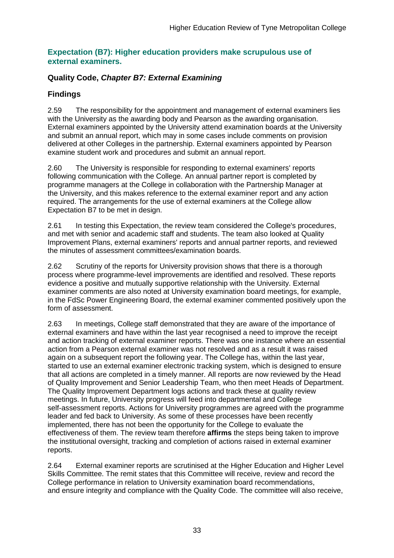#### **Expectation (B7): Higher education providers make scrupulous use of external examiners.**

### **Quality Code,** *Chapter B7: External Examining*

### **Findings**

2.59 The responsibility for the appointment and management of external examiners lies with the University as the awarding body and Pearson as the awarding organisation. External examiners appointed by the University attend examination boards at the University and submit an annual report, which may in some cases include comments on provision delivered at other Colleges in the partnership. External examiners appointed by Pearson examine student work and procedures and submit an annual report.

2.60 The University is responsible for responding to external examiners' reports following communication with the College. An annual partner report is completed by programme managers at the College in collaboration with the Partnership Manager at the University, and this makes reference to the external examiner report and any action required. The arrangements for the use of external examiners at the College allow Expectation B7 to be met in design.

2.61 In testing this Expectation, the review team considered the College's procedures, and met with senior and academic staff and students. The team also looked at Quality Improvement Plans, external examiners' reports and annual partner reports, and reviewed the minutes of assessment committees/examination boards.

2.62 Scrutiny of the reports for University provision shows that there is a thorough process where programme-level improvements are identified and resolved. These reports evidence a positive and mutually supportive relationship with the University. External examiner comments are also noted at University examination board meetings, for example, in the FdSc Power Engineering Board, the external examiner commented positively upon the form of assessment.

2.63 In meetings, College staff demonstrated that they are aware of the importance of external examiners and have within the last year recognised a need to improve the receipt and action tracking of external examiner reports. There was one instance where an essential action from a Pearson external examiner was not resolved and as a result it was raised again on a subsequent report the following year. The College has, within the last year, started to use an external examiner electronic tracking system, which is designed to ensure that all actions are completed in a timely manner. All reports are now reviewed by the Head of Quality Improvement and Senior Leadership Team, who then meet Heads of Department. The Quality Improvement Department logs actions and track these at quality review meetings. In future, University progress will feed into departmental and College self-assessment reports. Actions for University programmes are agreed with the programme leader and fed back to University. As some of these processes have been recently implemented, there has not been the opportunity for the College to evaluate the effectiveness of them. The review team therefore **affirms** the steps being taken to improve the institutional oversight, tracking and completion of actions raised in external examiner reports.

2.64 External examiner reports are scrutinised at the Higher Education and Higher Level Skills Committee. The remit states that this Committee will receive, review and record the College performance in relation to University examination board recommendations, and ensure integrity and compliance with the Quality Code. The committee will also receive,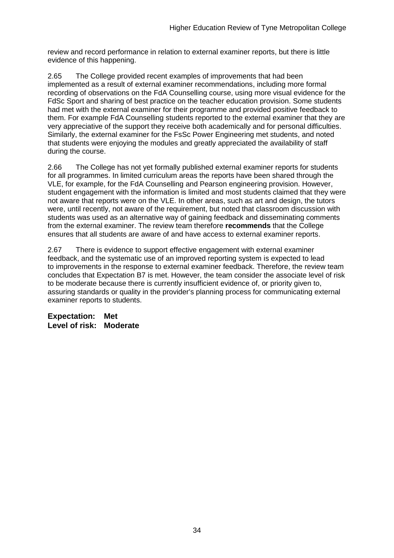review and record performance in relation to external examiner reports, but there is little evidence of this happening.

2.65 The College provided recent examples of improvements that had been implemented as a result of external examiner recommendations, including more formal recording of observations on the FdA Counselling course, using more visual evidence for the FdSc Sport and sharing of best practice on the teacher education provision. Some students had met with the external examiner for their programme and provided positive feedback to them. For example FdA Counselling students reported to the external examiner that they are very appreciative of the support they receive both academically and for personal difficulties. Similarly, the external examiner for the FsSc Power Engineering met students, and noted that students were enjoying the modules and greatly appreciated the availability of staff during the course.

2.66 The College has not yet formally published external examiner reports for students for all programmes. In limited curriculum areas the reports have been shared through the VLE, for example, for the FdA Counselling and Pearson engineering provision. However, student engagement with the information is limited and most students claimed that they were not aware that reports were on the VLE. In other areas, such as art and design, the tutors were, until recently, not aware of the requirement, but noted that classroom discussion with students was used as an alternative way of gaining feedback and disseminating comments from the external examiner. The review team therefore **recommends** that the College ensures that all students are aware of and have access to external examiner reports.

2.67 There is evidence to support effective engagement with external examiner feedback, and the systematic use of an improved reporting system is expected to lead to improvements in the response to external examiner feedback. Therefore, the review team concludes that Expectation B7 is met. However, the team consider the associate level of risk to be moderate because there is currently insufficient evidence of, or priority given to, assuring standards or quality in the provider's planning process for communicating external examiner reports to students.

**Expectation: Met Level of risk: Moderate**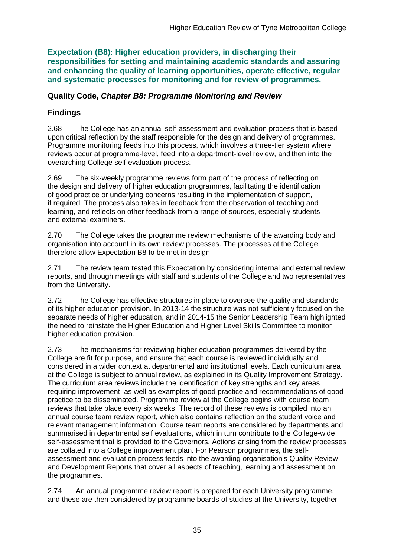**Expectation (B8): Higher education providers, in discharging their responsibilities for setting and maintaining academic standards and assuring and enhancing the quality of learning opportunities, operate effective, regular and systematic processes for monitoring and for review of programmes.**

#### **Quality Code,** *Chapter B8: Programme Monitoring and Review*

### **Findings**

2.68 The College has an annual self-assessment and evaluation process that is based upon critical reflection by the staff responsible for the design and delivery of programmes. Programme monitoring feeds into this process, which involves a three-tier system where reviews occur at programme-level, feed into a department-level review, and then into the overarching College self-evaluation process.

2.69 The six-weekly programme reviews form part of the process of reflecting on the design and delivery of higher education programmes, facilitating the identification of good practice or underlying concerns resulting in the implementation of support, if required. The process also takes in feedback from the observation of teaching and learning, and reflects on other feedback from a range of sources, especially students and external examiners.

2.70 The College takes the programme review mechanisms of the awarding body and organisation into account in its own review processes. The processes at the College therefore allow Expectation B8 to be met in design.

2.71 The review team tested this Expectation by considering internal and external review reports, and through meetings with staff and students of the College and two representatives from the University.

2.72 The College has effective structures in place to oversee the quality and standards of its higher education provision. In 2013-14 the structure was not sufficiently focused on the separate needs of higher education, and in 2014-15 the Senior Leadership Team highlighted the need to reinstate the Higher Education and Higher Level Skills Committee to monitor higher education provision.

2.73 The mechanisms for reviewing higher education programmes delivered by the College are fit for purpose, and ensure that each course is reviewed individually and considered in a wider context at departmental and institutional levels. Each curriculum area at the College is subject to annual review, as explained in its Quality Improvement Strategy. The curriculum area reviews include the identification of key strengths and key areas requiring improvement, as well as examples of good practice and recommendations of good practice to be disseminated. Programme review at the College begins with course team reviews that take place every six weeks. The record of these reviews is compiled into an annual course team review report, which also contains reflection on the student voice and relevant management information. Course team reports are considered by departments and summarised in departmental self evaluations, which in turn contribute to the College-wide self-assessment that is provided to the Governors. Actions arising from the review processes are collated into a College improvement plan. For Pearson programmes, the selfassessment and evaluation process feeds into the awarding organisation's Quality Review and Development Reports that cover all aspects of teaching, learning and assessment on the programmes.

2.74 An annual programme review report is prepared for each University programme, and these are then considered by programme boards of studies at the University, together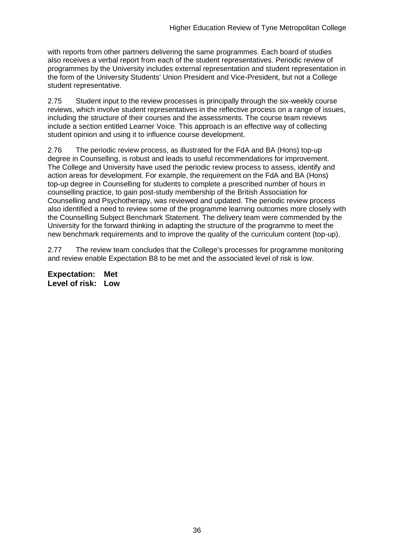with reports from other partners delivering the same programmes. Each board of studies also receives a verbal report from each of the student representatives. Periodic review of programmes by the University includes external representation and student representation in the form of the University Students' Union President and Vice-President, but not a College student representative.

2.75 Student input to the review processes is principally through the six-weekly course reviews, which involve student representatives in the reflective process on a range of issues, including the structure of their courses and the assessments. The course team reviews include a section entitled Learner Voice. This approach is an effective way of collecting student opinion and using it to influence course development.

2.76 The periodic review process, as illustrated for the FdA and BA (Hons) top-up degree in Counselling, is robust and leads to useful recommendations for improvement. The College and University have used the periodic review process to assess, identify and action areas for development. For example, the requirement on the FdA and BA (Hons) top-up degree in Counselling for students to complete a prescribed number of hours in counselling practice, to gain post-study membership of the British Association for Counselling and Psychotherapy, was reviewed and updated. The periodic review process also identified a need to review some of the programme learning outcomes more closely with the Counselling Subject Benchmark Statement. The delivery team were commended by the University for the forward thinking in adapting the structure of the programme to meet the new benchmark requirements and to improve the quality of the curriculum content (top-up).

2.77 The review team concludes that the College's processes for programme monitoring and review enable Expectation B8 to be met and the associated level of risk is low.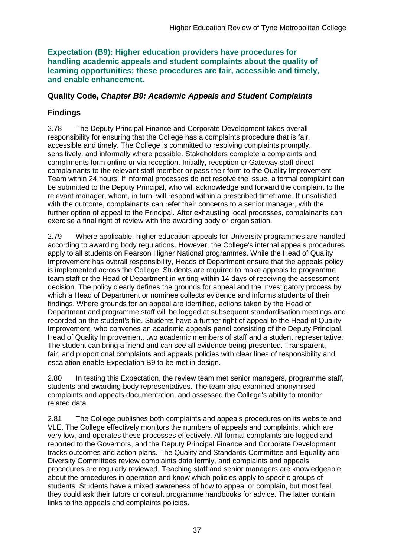**Expectation (B9): Higher education providers have procedures for handling academic appeals and student complaints about the quality of learning opportunities; these procedures are fair, accessible and timely, and enable enhancement.** 

#### **Quality Code,** *Chapter B9: Academic Appeals and Student Complaints*

### **Findings**

2.78 The Deputy Principal Finance and Corporate Development takes overall responsibility for ensuring that the College has a complaints procedure that is fair, accessible and timely. The College is committed to resolving complaints promptly, sensitively, and informally where possible. Stakeholders complete a complaints and compliments form online or via reception. Initially, reception or Gateway staff direct complainants to the relevant staff member or pass their form to the Quality Improvement Team within 24 hours. If informal processes do not resolve the issue, a formal complaint can be submitted to the Deputy Principal, who will acknowledge and forward the complaint to the relevant manager, whom, in turn, will respond within a prescribed timeframe. If unsatisfied with the outcome, complainants can refer their concerns to a senior manager, with the further option of appeal to the Principal. After exhausting local processes, complainants can exercise a final right of review with the awarding body or organisation.

2.79 Where applicable, higher education appeals for University programmes are handled according to awarding body regulations. However, the College's internal appeals procedures apply to all students on Pearson Higher National programmes. While the Head of Quality Improvement has overall responsibility, Heads of Department ensure that the appeals policy is implemented across the College. Students are required to make appeals to programme team staff or the Head of Department in writing within 14 days of receiving the assessment decision. The policy clearly defines the grounds for appeal and the investigatory process by which a Head of Department or nominee collects evidence and informs students of their findings. Where grounds for an appeal are identified, actions taken by the Head of Department and programme staff will be logged at subsequent standardisation meetings and recorded on the student's file. Students have a further right of appeal to the Head of Quality Improvement, who convenes an academic appeals panel consisting of the Deputy Principal, Head of Quality Improvement, two academic members of staff and a student representative. The student can bring a friend and can see all evidence being presented. Transparent, fair, and proportional complaints and appeals policies with clear lines of responsibility and escalation enable Expectation B9 to be met in design.

2.80 In testing this Expectation, the review team met senior managers, programme staff, students and awarding body representatives. The team also examined anonymised complaints and appeals documentation, and assessed the College's ability to monitor related data.

2.81 The College publishes both complaints and appeals procedures on its website and VLE. The College effectively monitors the numbers of appeals and complaints, which are very low, and operates these processes effectively. All formal complaints are logged and reported to the Governors, and the Deputy Principal Finance and Corporate Development tracks outcomes and action plans. The Quality and Standards Committee and Equality and Diversity Committees review complaints data termly, and complaints and appeals procedures are regularly reviewed. Teaching staff and senior managers are knowledgeable about the procedures in operation and know which policies apply to specific groups of students. Students have a mixed awareness of how to appeal or complain, but most feel they could ask their tutors or consult programme handbooks for advice. The latter contain links to the appeals and complaints policies.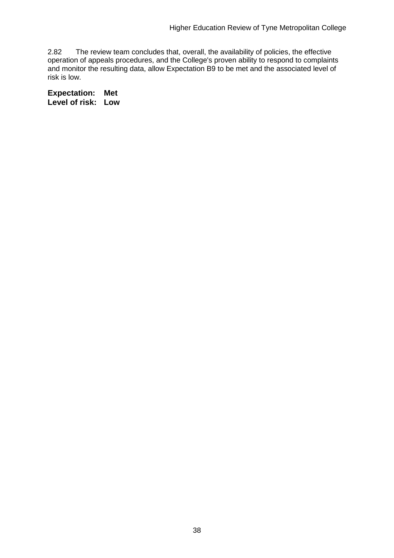2.82 The review team concludes that, overall, the availability of policies, the effective operation of appeals procedures, and the College's proven ability to respond to complaints and monitor the resulting data, allow Expectation B9 to be met and the associated level of risk is low.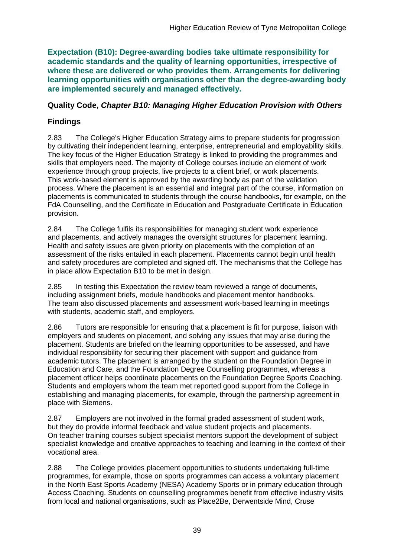**Expectation (B10): Degree-awarding bodies take ultimate responsibility for academic standards and the quality of learning opportunities, irrespective of where these are delivered or who provides them. Arrangements for delivering learning opportunities with organisations other than the degree-awarding body are implemented securely and managed effectively.**

### **Quality Code,** *Chapter B10: Managing Higher Education Provision with Others*

## **Findings**

2.83 The College's Higher Education Strategy aims to prepare students for progression by cultivating their independent learning, enterprise, entrepreneurial and employability skills. The key focus of the Higher Education Strategy is linked to providing the programmes and skills that employers need. The majority of College courses include an element of work experience through group projects, live projects to a client brief, or work placements. This work-based element is approved by the awarding body as part of the validation process. Where the placement is an essential and integral part of the course, information on placements is communicated to students through the course handbooks, for example, on the FdA Counselling, and the Certificate in Education and Postgraduate Certificate in Education provision.

2.84 The College fulfils its responsibilities for managing student work experience and placements, and actively manages the oversight structures for placement learning. Health and safety issues are given priority on placements with the completion of an assessment of the risks entailed in each placement. Placements cannot begin until health and safety procedures are completed and signed off. The mechanisms that the College has in place allow Expectation B10 to be met in design.

2.85 In testing this Expectation the review team reviewed a range of documents, including assignment briefs, module handbooks and placement mentor handbooks. The team also discussed placements and assessment work-based learning in meetings with students, academic staff, and employers.

2.86 Tutors are responsible for ensuring that a placement is fit for purpose, liaison with employers and students on placement, and solving any issues that may arise during the placement. Students are briefed on the learning opportunities to be assessed, and have individual responsibility for securing their placement with support and guidance from academic tutors. The placement is arranged by the student on the Foundation Degree in Education and Care, and the Foundation Degree Counselling programmes, whereas a placement officer helps coordinate placements on the Foundation Degree Sports Coaching. Students and employers whom the team met reported good support from the College in establishing and managing placements, for example, through the partnership agreement in place with Siemens.

2.87 Employers are not involved in the formal graded assessment of student work, but they do provide informal feedback and value student projects and placements. On teacher training courses subject specialist mentors support the development of subject specialist knowledge and creative approaches to teaching and learning in the context of their vocational area.

2.88 The College provides placement opportunities to students undertaking full-time programmes, for example, those on sports programmes can access a voluntary placement in the North East Sports Academy (NESA) Academy Sports or in primary education through Access Coaching. Students on counselling programmes benefit from effective industry visits from local and national organisations, such as Place2Be, Derwentside Mind, Cruse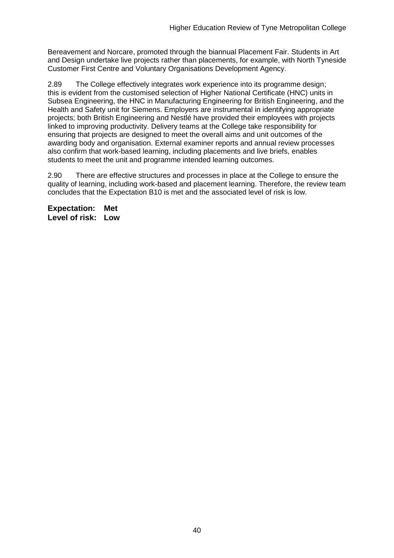Bereavement and Norcare, promoted through the biannual Placement Fair. Students in Art and Design undertake live projects rather than placements, for example, with North Tyneside Customer First Centre and Voluntary Organisations Development Agency.

2.89 The College effectively integrates work experience into its programme design; this is evident from the customised selection of Higher National Certificate (HNC) units in Subsea Engineering, the HNC in Manufacturing Engineering for British Engineering, and the Health and Safety unit for Siemens. Employers are instrumental in identifying appropriate projects; both British Engineering and Nestlé have provided their employees with projects linked to improving productivity. Delivery teams at the College take responsibility for ensuring that projects are designed to meet the overall aims and unit outcomes of the awarding body and organisation. External examiner reports and annual review processes also confirm that work-based learning, including placements and live briefs, enables students to meet the unit and programme intended learning outcomes.

2.90 There are effective structures and processes in place at the College to ensure the quality of learning, including work-based and placement learning. Therefore, the review team concludes that the Expectation B10 is met and the associated level of risk is low.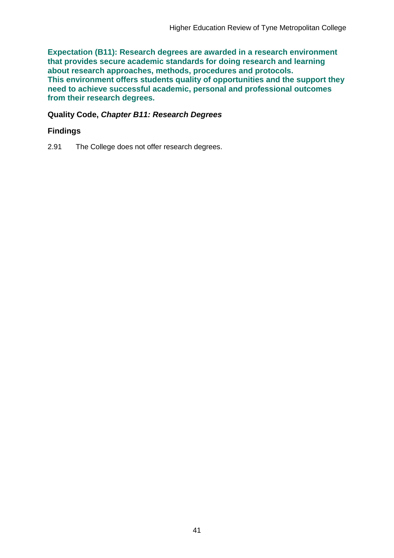**Expectation (B11): Research degrees are awarded in a research environment that provides secure academic standards for doing research and learning about research approaches, methods, procedures and protocols. This environment offers students quality of opportunities and the support they need to achieve successful academic, personal and professional outcomes from their research degrees.**

#### **Quality Code,** *Chapter B11: Research Degrees*

#### **Findings**

2.91 The College does not offer research degrees.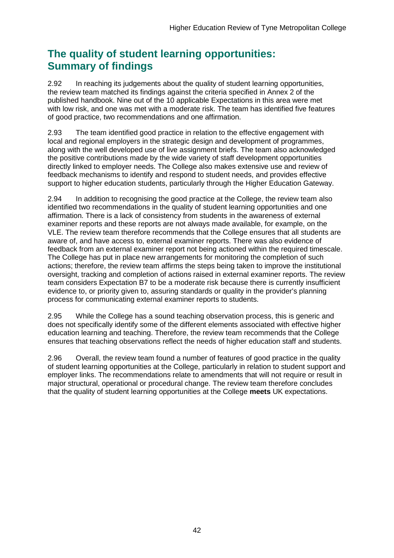## **The quality of student learning opportunities: Summary of findings**

2.92 In reaching its judgements about the quality of student learning opportunities, the review team matched its findings against the criteria specified in Annex 2 of the published handbook. Nine out of the 10 applicable Expectations in this area were met with low risk, and one was met with a moderate risk. The team has identified five features of good practice, two recommendations and one affirmation.

2.93 The team identified good practice in relation to the effective engagement with local and regional employers in the strategic design and development of programmes, along with the well developed use of live assignment briefs. The team also acknowledged the positive contributions made by the wide variety of staff development opportunities directly linked to employer needs. The College also makes extensive use and review of feedback mechanisms to identify and respond to student needs, and provides effective support to higher education students, particularly through the Higher Education Gateway.

2.94 In addition to recognising the good practice at the College, the review team also identified two recommendations in the quality of student learning opportunities and one affirmation. There is a lack of consistency from students in the awareness of external examiner reports and these reports are not always made available, for example, on the VLE. The review team therefore recommends that the College ensures that all students are aware of, and have access to, external examiner reports. There was also evidence of feedback from an external examiner report not being actioned within the required timescale. The College has put in place new arrangements for monitoring the completion of such actions; therefore, the review team affirms the steps being taken to improve the institutional oversight, tracking and completion of actions raised in external examiner reports. The review team considers Expectation B7 to be a moderate risk because there is currently insufficient evidence to, or priority given to, assuring standards or quality in the provider's planning process for communicating external examiner reports to students.

2.95 While the College has a sound teaching observation process, this is generic and does not specifically identify some of the different elements associated with effective higher education learning and teaching. Therefore, the review team recommends that the College ensures that teaching observations reflect the needs of higher education staff and students.

2.96 Overall, the review team found a number of features of good practice in the quality of student learning opportunities at the College, particularly in relation to student support and employer links. The recommendations relate to amendments that will not require or result in major structural, operational or procedural change. The review team therefore concludes that the quality of student learning opportunities at the College **meets** UK expectations.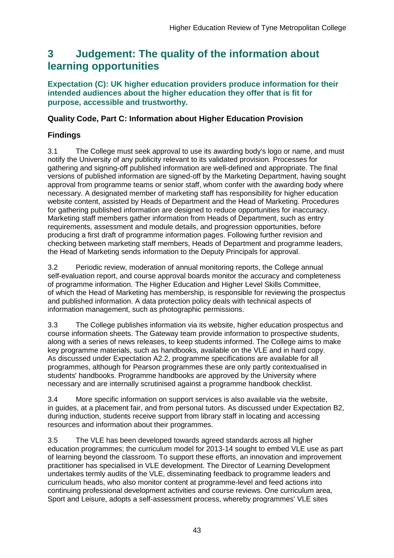## <span id="page-43-0"></span>**3 Judgement: The quality of the information about learning opportunities**

#### **Expectation (C): UK higher education providers produce information for their intended audiences about the higher education they offer that is fit for purpose, accessible and trustworthy.**

### **Quality Code, Part C: Information about Higher Education Provision**

## **Findings**

3.1 The College must seek approval to use its awarding body's logo or name, and must notify the University of any publicity relevant to its validated provision. Processes for gathering and signing-off published information are well-defined and appropriate. The final versions of published information are signed-off by the Marketing Department, having sought approval from programme teams or senior staff, whom confer with the awarding body where necessary. A designated member of marketing staff has responsibility for higher education website content, assisted by Heads of Department and the Head of Marketing. Procedures for gathering published information are designed to reduce opportunities for inaccuracy. Marketing staff members gather information from Heads of Department, such as entry requirements, assessment and module details, and progression opportunities, before producing a first draft of programme information pages. Following further revision and checking between marketing staff members, Heads of Department and programme leaders, the Head of Marketing sends information to the Deputy Principals for approval.

3.2 Periodic review, moderation of annual monitoring reports, the College annual self-evaluation report, and course approval boards monitor the accuracy and completeness of programme information. The Higher Education and Higher Level Skills Committee, of which the Head of Marketing has membership, is responsible for reviewing the prospectus and published information. A data protection policy deals with technical aspects of information management, such as photographic permissions.

3.3 The College publishes information via its website, higher education prospectus and course information sheets. The Gateway team provide information to prospective students, along with a series of news releases, to keep students informed. The College aims to make key programme materials, such as handbooks, available on the VLE and in hard copy. As discussed under Expectation A2.2, programme specifications are available for all programmes, although for Pearson programmes these are only partly contextualised in students' handbooks. Programme handbooks are approved by the University where necessary and are internally scrutinised against a programme handbook checklist.

3.4 More specific information on support services is also available via the website, in guides, at a placement fair, and from personal tutors. As discussed under Expectation B2, during induction, students receive support from library staff in locating and accessing resources and information about their programmes.

3.5 The VLE has been developed towards agreed standards across all higher education programmes; the curriculum model for 2013-14 sought to embed VLE use as part of learning beyond the classroom. To support these efforts, an innovation and improvement practitioner has specialised in VLE development. The Director of Learning Development undertakes termly audits of the VLE, disseminating feedback to programme leaders and curriculum heads, who also monitor content at programme-level and feed actions into continuing professional development activities and course reviews. One curriculum area, Sport and Leisure, adopts a self-assessment process, whereby programmes' VLE sites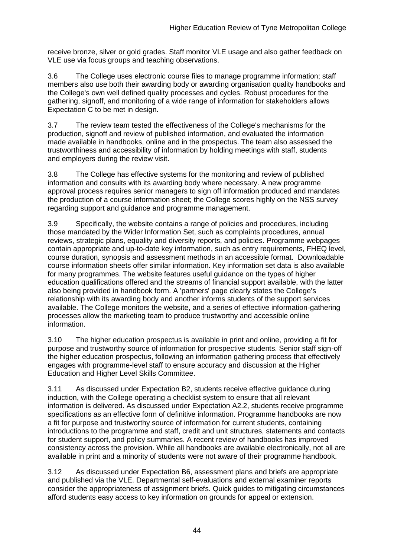receive bronze, silver or gold grades. Staff monitor VLE usage and also gather feedback on VLE use via focus groups and teaching observations.

3.6 The College uses electronic course files to manage programme information; staff members also use both their awarding body or awarding organisation quality handbooks and the College's own well defined quality processes and cycles. Robust procedures for the gathering, signoff, and monitoring of a wide range of information for stakeholders allows Expectation C to be met in design.

3.7 The review team tested the effectiveness of the College's mechanisms for the production, signoff and review of published information, and evaluated the information made available in handbooks, online and in the prospectus. The team also assessed the trustworthiness and accessibility of information by holding meetings with staff, students and employers during the review visit.

3.8 The College has effective systems for the monitoring and review of published information and consults with its awarding body where necessary. A new programme approval process requires senior managers to sign off information produced and mandates the production of a course information sheet; the College scores highly on the NSS survey regarding support and guidance and programme management.

3.9 Specifically, the website contains a range of policies and procedures, including those mandated by the Wider Information Set, such as complaints procedures, annual reviews, strategic plans, equality and diversity reports, and policies. Programme webpages contain appropriate and up-to-date key information, such as entry requirements, FHEQ level, course duration, synopsis and assessment methods in an accessible format. Downloadable course information sheets offer similar information. Key information set data is also available for many programmes. The website features useful guidance on the types of higher education qualifications offered and the streams of financial support available, with the latter also being provided in handbook form. A 'partners' page clearly states the College's relationship with its awarding body and another informs students of the support services available. The College monitors the website, and a series of effective information-gathering processes allow the marketing team to produce trustworthy and accessible online information.

3.10 The higher education prospectus is available in print and online, providing a fit for purpose and trustworthy source of information for prospective students. Senior staff sign-off the higher education prospectus, following an information gathering process that effectively engages with programme-level staff to ensure accuracy and discussion at the Higher Education and Higher Level Skills Committee.

3.11 As discussed under Expectation B2, students receive effective guidance during induction, with the College operating a checklist system to ensure that all relevant information is delivered. As discussed under Expectation A2.2, students receive programme specifications as an effective form of definitive information. Programme handbooks are now a fit for purpose and trustworthy source of information for current students, containing introductions to the programme and staff, credit and unit structures, statements and contacts for student support, and policy summaries. A recent review of handbooks has improved consistency across the provision. While all handbooks are available electronically, not all are available in print and a minority of students were not aware of their programme handbook.

3.12 As discussed under Expectation B6, assessment plans and briefs are appropriate and published via the VLE. Departmental self-evaluations and external examiner reports consider the appropriateness of assignment briefs. Quick guides to mitigating circumstances afford students easy access to key information on grounds for appeal or extension.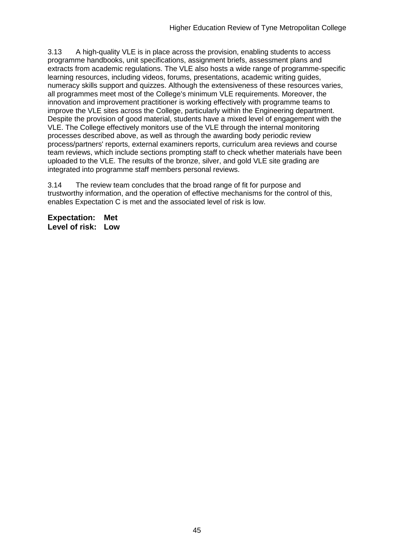3.13 A high-quality VLE is in place across the provision, enabling students to access programme handbooks, unit specifications, assignment briefs, assessment plans and extracts from academic regulations. The VLE also hosts a wide range of programme-specific learning resources, including videos, forums, presentations, academic writing guides, numeracy skills support and quizzes. Although the extensiveness of these resources varies, all programmes meet most of the College's minimum VLE requirements. Moreover, the innovation and improvement practitioner is working effectively with programme teams to improve the VLE sites across the College, particularly within the Engineering department. Despite the provision of good material, students have a mixed level of engagement with the VLE. The College effectively monitors use of the VLE through the internal monitoring processes described above, as well as through the awarding body periodic review process/partners' reports, external examiners reports, curriculum area reviews and course team reviews, which include sections prompting staff to check whether materials have been uploaded to the VLE. The results of the bronze, silver, and gold VLE site grading are integrated into programme staff members personal reviews.

3.14 The review team concludes that the broad range of fit for purpose and trustworthy information, and the operation of effective mechanisms for the control of this, enables Expectation C is met and the associated level of risk is low.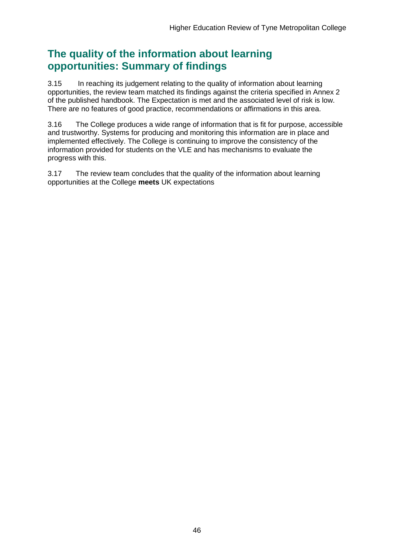## **The quality of the information about learning opportunities: Summary of findings**

3.15 In reaching its judgement relating to the quality of information about learning opportunities, the review team matched its findings against the criteria specified in Annex 2 of the published handbook. The Expectation is met and the associated level of risk is low. There are no features of good practice, recommendations or affirmations in this area.

3.16 The College produces a wide range of information that is fit for purpose, accessible and trustworthy. Systems for producing and monitoring this information are in place and implemented effectively. The College is continuing to improve the consistency of the information provided for students on the VLE and has mechanisms to evaluate the progress with this.

3.17 The review team concludes that the quality of the information about learning opportunities at the College **meets** UK expectations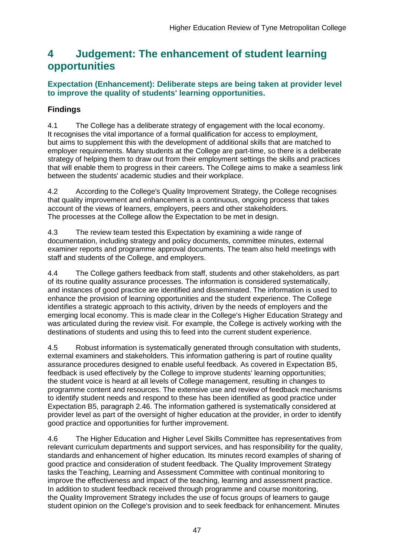## <span id="page-47-0"></span>**4 Judgement: The enhancement of student learning opportunities**

### **Expectation (Enhancement): Deliberate steps are being taken at provider level to improve the quality of students' learning opportunities.**

## **Findings**

4.1 The College has a deliberate strategy of engagement with the local economy. It recognises the vital importance of a formal qualification for access to employment, but aims to supplement this with the development of additional skills that are matched to employer requirements. Many students at the College are part-time, so there is a deliberate strategy of helping them to draw out from their employment settings the skills and practices that will enable them to progress in their careers. The College aims to make a seamless link between the students' academic studies and their workplace.

4.2 According to the College's Quality Improvement Strategy, the College recognises that quality improvement and enhancement is a continuous, ongoing process that takes account of the views of learners, employers, peers and other stakeholders. The processes at the College allow the Expectation to be met in design.

4.3 The review team tested this Expectation by examining a wide range of documentation, including strategy and policy documents, committee minutes, external examiner reports and programme approval documents. The team also held meetings with staff and students of the College, and employers.

4.4 The College gathers feedback from staff, students and other stakeholders, as part of its routine quality assurance processes. The information is considered systematically, and instances of good practice are identified and disseminated. The information is used to enhance the provision of learning opportunities and the student experience. The College identifies a strategic approach to this activity, driven by the needs of employers and the emerging local economy. This is made clear in the College's Higher Education Strategy and was articulated during the review visit. For example, the College is actively working with the destinations of students and using this to feed into the current student experience.

4.5 Robust information is systematically generated through consultation with students, external examiners and stakeholders. This information gathering is part of routine quality assurance procedures designed to enable useful feedback. As covered in Expectation B5, feedback is used effectively by the College to improve students' learning opportunities; the student voice is heard at all levels of College management, resulting in changes to programme content and resources. The extensive use and review of feedback mechanisms to identify student needs and respond to these has been identified as good practice under Expectation B5, paragraph 2.46. The information gathered is systematically considered at provider level as part of the oversight of higher education at the provider, in order to identify good practice and opportunities for further improvement.

4.6 The Higher Education and Higher Level Skills Committee has representatives from relevant curriculum departments and support services, and has responsibility for the quality, standards and enhancement of higher education. Its minutes record examples of sharing of good practice and consideration of student feedback. The Quality Improvement Strategy tasks the Teaching, Learning and Assessment Committee with continual monitoring to improve the effectiveness and impact of the teaching, learning and assessment practice. In addition to student feedback received through programme and course monitoring, the Quality Improvement Strategy includes the use of focus groups of learners to gauge student opinion on the College's provision and to seek feedback for enhancement. Minutes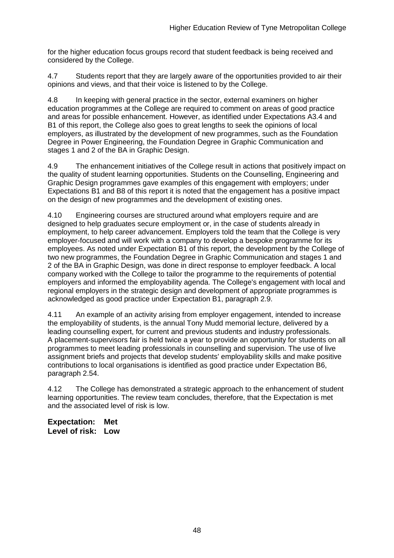for the higher education focus groups record that student feedback is being received and considered by the College.

4.7 Students report that they are largely aware of the opportunities provided to air their opinions and views, and that their voice is listened to by the College.

4.8 In keeping with general practice in the sector, external examiners on higher education programmes at the College are required to comment on areas of good practice and areas for possible enhancement. However, as identified under Expectations A3.4 and B1 of this report, the College also goes to great lengths to seek the opinions of local employers, as illustrated by the development of new programmes, such as the Foundation Degree in Power Engineering, the Foundation Degree in Graphic Communication and stages 1 and 2 of the BA in Graphic Design.

4.9 The enhancement initiatives of the College result in actions that positively impact on the quality of student learning opportunities. Students on the Counselling, Engineering and Graphic Design programmes gave examples of this engagement with employers; under Expectations B1 and B8 of this report it is noted that the engagement has a positive impact on the design of new programmes and the development of existing ones.

4.10 Engineering courses are structured around what employers require and are designed to help graduates secure employment or, in the case of students already in employment, to help career advancement. Employers told the team that the College is very employer-focused and will work with a company to develop a bespoke programme for its employees. As noted under Expectation B1 of this report, the development by the College of two new programmes, the Foundation Degree in Graphic Communication and stages 1 and 2 of the BA in Graphic Design, was done in direct response to employer feedback. A local company worked with the College to tailor the programme to the requirements of potential employers and informed the employability agenda. The College's engagement with local and regional employers in the strategic design and development of appropriate programmes is acknowledged as good practice under Expectation B1, paragraph 2.9.

4.11 An example of an activity arising from employer engagement, intended to increase the employability of students, is the annual Tony Mudd memorial lecture, delivered by a leading counselling expert, for current and previous students and industry professionals. A placement-supervisors fair is held twice a year to provide an opportunity for students on all programmes to meet leading professionals in counselling and supervision. The use of live assignment briefs and projects that develop students' employability skills and make positive contributions to local organisations is identified as good practice under Expectation B6, paragraph 2.54.

4.12 The College has demonstrated a strategic approach to the enhancement of student learning opportunities. The review team concludes, therefore, that the Expectation is met and the associated level of risk is low.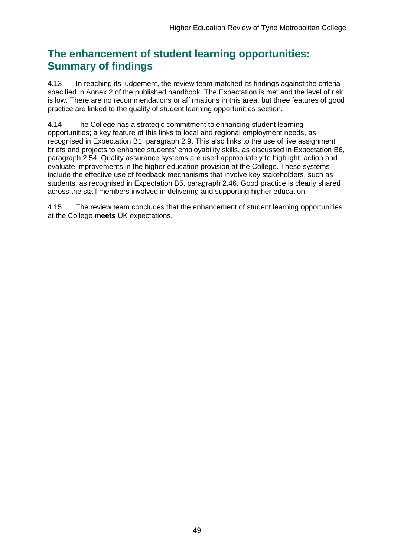## **The enhancement of student learning opportunities: Summary of findings**

4.13 In reaching its judgement, the review team matched its findings against the criteria specified in Annex 2 of the published handbook. The Expectation is met and the level of risk is low. There are no recommendations or affirmations in this area, but three features of good practice are linked to the quality of student learning opportunities section.

4.14 The College has a strategic commitment to enhancing student learning opportunities; a key feature of this links to local and regional employment needs, as recognised in Expectation B1, paragraph 2.9. This also links to the use of live assignment briefs and projects to enhance students' employability skills, as discussed in Expectation B6, paragraph 2.54. Quality assurance systems are used appropriately to highlight, action and evaluate improvements in the higher education provision at the College. These systems include the effective use of feedback mechanisms that involve key stakeholders, such as students, as recognised in Expectation B5, paragraph 2.46. Good practice is clearly shared across the staff members involved in delivering and supporting higher education.

4.15 The review team concludes that the enhancement of student learning opportunities at the College **meets** UK expectations.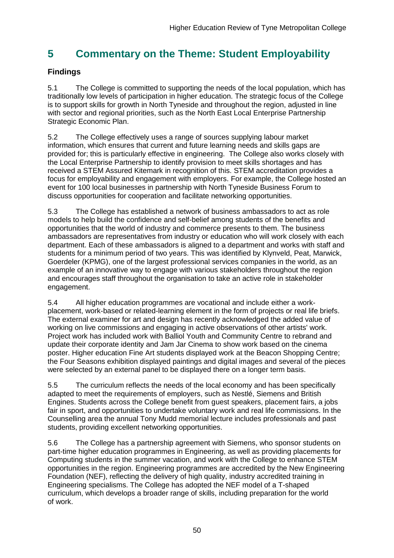## <span id="page-50-0"></span>**5 Commentary on the Theme: Student Employability**

## **Findings**

5.1 The College is committed to supporting the needs of the local population, which has traditionally low levels of participation in higher education. The strategic focus of the College is to support skills for growth in North Tyneside and throughout the region, adjusted in line with sector and regional priorities, such as the North East Local Enterprise Partnership Strategic Economic Plan.

<span id="page-50-1"></span>5.2 The College effectively uses a range of sources supplying labour market information, which ensures that current and future learning needs and skills gaps are provided for; this is particularly effective in engineering. The College also works closely with the Local Enterprise Partnership to identify provision to meet skills shortages and has received a STEM Assured Kitemark in recognition of this. STEM accreditation provides a focus for employability and engagement with employers. For example, the College hosted an event for 100 local businesses in partnership with North Tyneside Business Forum to discuss opportunities for cooperation and facilitate networking opportunities.

5.3 The College has established a network of business ambassadors to act as role models to help build the confidence and self-belief among students of the benefits and opportunities that the world of industry and commerce presents to them. The business ambassadors are representatives from industry or education who will work closely with each department. Each of these ambassadors is aligned to a department and works with staff and students for a minimum period of two years. This was identified by Klynveld, Peat, Marwick, Goerdeler (KPMG), one of the largest professional services companies in the world, as an example of an innovative way to engage with various stakeholders throughout the region and encourages staff throughout the organisation to take an active role in stakeholder engagement.

5.4 All higher education programmes are vocational and include either a workplacement, work-based or related-learning element in the form of projects or real life briefs. The external examiner for art and design has recently acknowledged the added value of working on live commissions and engaging in active observations of other artists' work. Project work has included work with Balliol Youth and Community Centre to rebrand and update their corporate identity and Jam Jar Cinema to show work based on the cinema poster. Higher education Fine Art students displayed work at the Beacon Shopping Centre; the Four Seasons exhibition displayed paintings and digital images and several of the pieces were selected by an external panel to be displayed there on a longer term basis.

5.5 The curriculum reflects the needs of the local economy and has been specifically adapted to meet the requirements of employers, such as Nestlé, Siemens and British Engines. Students across the College benefit from guest speakers, placement fairs, a jobs fair in sport, and opportunities to undertake voluntary work and real life commissions. In the Counselling area the annual Tony Mudd memorial lecture includes professionals and past students, providing excellent networking opportunities.

5.6 The College has a partnership agreement with Siemens, who sponsor students on part-time higher education programmes in Engineering, as well as providing placements for Computing students in the summer vacation, and work with the College to enhance STEM opportunities in the region. Engineering programmes are accredited by the New Engineering Foundation (NEF), reflecting the delivery of high quality, industry accredited training in Engineering specialisms. The College has adopted the NEF model of a T-shaped curriculum, which develops a broader range of skills, including preparation for the world of work.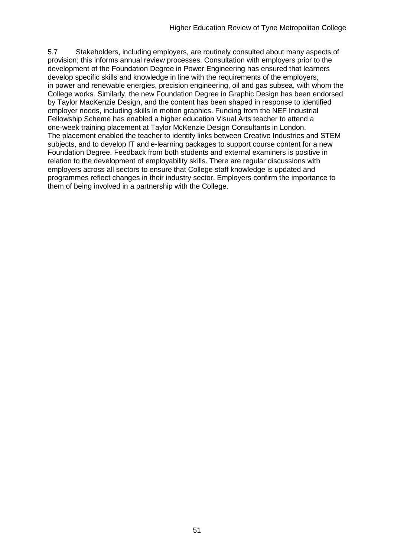5.7 Stakeholders, including employers, are routinely consulted about many aspects of provision; this informs annual review processes. Consultation with employers prior to the development of the Foundation Degree in Power Engineering has ensured that learners develop specific skills and knowledge in line with the requirements of the employers, in power and renewable energies, precision engineering, oil and gas subsea, with whom the College works. Similarly, the new Foundation Degree in Graphic Design has been endorsed by Taylor MacKenzie Design, and the content has been shaped in response to identified employer needs, including skills in motion graphics. Funding from the NEF Industrial Fellowship Scheme has enabled a higher education Visual Arts teacher to attend a one-week training placement at Taylor McKenzie Design Consultants in London. The placement enabled the teacher to identify links between Creative Industries and STEM subjects, and to develop IT and e-learning packages to support course content for a new Foundation Degree. Feedback from both students and external examiners is positive in relation to the development of employability skills. There are regular discussions with employers across all sectors to ensure that College staff knowledge is updated and programmes reflect changes in their industry sector. Employers confirm the importance to them of being involved in a partnership with the College.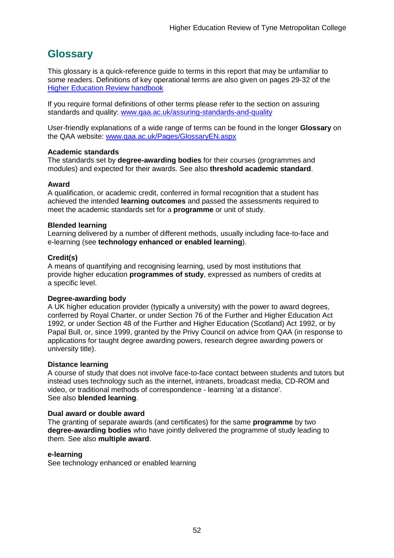## <span id="page-52-0"></span>**Glossary**

This glossary is a quick-reference guide to terms in this report that may be unfamiliar to some readers. Definitions of key operational terms are also given on pages 29-32 of the [Higher Education Review handbook](http://www.qaa.ac.uk/en/Publications/Documents/HER-handbook-14.pdf)

If you require formal definitions of other terms please refer to the section on assuring standards and quality: [www.qaa.ac.uk/assuring-standards-and-quality](http://www.qaa.ac.uk/assuring-standards-and-quality)

User-friendly explanations of a wide range of terms can be found in the longer **Glossary** on the QAA website: [www.qaa.ac.uk/Pages/GlossaryEN.aspx](http://www.qaa.ac.uk/Pages/GlossaryEN.aspx)

#### **Academic standards**

The standards set by **degree-awarding bodies** for their courses (programmes and modules) and expected for their awards. See also **threshold academic standard**.

#### **Award**

A qualification, or academic credit, conferred in formal recognition that a student has achieved the intended **learning outcomes** and passed the assessments required to meet the academic standards set for a **programme** or unit of study.

#### **Blended learning**

Learning delivered by a number of different methods, usually including face-to-face and e-learning (see **[technology enhanced or enabled learning](http://www.qaa.ac.uk/AboutUs/glossary/Pages/glossary-t.aspx#t1)**).

#### **Credit(s)**

A means of quantifying and recognising learning, used by most institutions that provide higher education **programmes of study**, expressed as numbers of credits at a specific level.

#### **Degree-awarding body**

A UK [higher education provider](http://newlive.qaa.ac.uk/AboutUs/glossary/Pages/glossary-h.aspx#h2.1) (typically a [university\)](http://newlive.qaa.ac.uk/AboutUs/glossary/Pages/glossary-u-z.aspx#u4) with the power to award degrees, conferred by Royal Charter, or under Section 76 of the Further and Higher Education Act 1992, or under Section 48 of the Further and Higher Education (Scotland) Act 1992, or by Papal Bull, or, since 1999, granted by the Privy Council on advice from QAA (in response to applications for [taught degree awarding powers, research degree awarding powers or](http://newlive.qaa.ac.uk/AboutUs/DAP/Pages/default.aspx)  [university title\)](http://newlive.qaa.ac.uk/AboutUs/DAP/Pages/default.aspx).

#### **Distance learning**

A course of study that does not involve face-to-face contact between students and tutors but instead uses technology such as the internet, intranets, broadcast media, CD-ROM and video, or traditional methods of correspondence - learning 'at a distance'. See also **blended learning**.

#### **Dual award or double award**

The granting of separate awards (and certificates) for the same **programme** by two **degree-awarding bodies** who have jointly delivered the programme of study leading to them. See also **multiple award**.

#### **e-learning**

See technology enhanced or enabled learning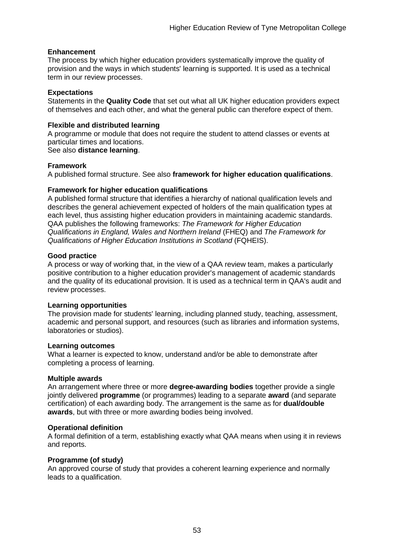#### **Enhancement**

The process by which [higher education providers](http://www.qaa.ac.uk/AboutUs/glossary/Pages/glossary-h.aspx#h2.1) systematically improve the quality of provision and the ways in which students' learning is supported. It is used as a technical term in our review processes.

#### **Expectations**

Statements in the **Quality Code** that set out what all UK [higher education providers](http://newlive.qaa.ac.uk/AboutUs/glossary/Pages/glossary-h.aspx#h2.1) expect of themselves and each other, and what the general public can therefore expect of them.

#### **Flexible and distributed learning**

A [programme](http://newlive.qaa.ac.uk/AboutUs/glossary/Pages/glossary-p.aspx#p12) or [module](http://newlive.qaa.ac.uk/AboutUs/glossary/Pages/glossary-m-o.aspx#m6) that does not require the student to attend classes or events at particular times and locations.

#### See also **distance learning**.

#### **Framework**

A published formal structure. See also **framework for higher education qualifications**.

#### **Framework for higher education qualifications**

A published formal structure that identifies a hierarchy of national qualification levels and describes the general achievement expected of holders of the main qualification types at each level, thus assisting higher education providers in maintaining academic standards. QAA publishes the following frameworks: *The Framework for Higher Education Qualifications in England, Wales and Northern Ireland* (FHEQ) and *The Framework for Qualifications of Higher Education Institutions in Scotland* (FQHEIS).

#### **Good practice**

A process or way of working that, in the view of a QAA review team, makes a particularly positive contribution to a higher education provider's management of academic standards and the quality of its educational provision. It is used as a technical term in QAA's audit and review processes.

#### **Learning opportunities**

The provision made for students' learning, including planned study, teaching, assessment, academic and personal support, and resources (such as libraries and information systems, laboratories or studios).

#### **Learning outcomes**

What a learner is expected to know, understand and/or be able to demonstrate after completing a process of learning.

#### **Multiple awards**

An arrangement where three or more **degree-awarding bodies** together provide a single jointly delivered **programme** (or programmes) leading to a separate **award** (and separate certification) of each awarding body. The arrangement is the same as for **dual/double awards**, but with three or more awarding bodies being involved.

#### **Operational definition**

A formal definition of a term, establishing exactly what QAA means when using it in reviews and reports.

#### **Programme (of study)**

An approved course of study that provides a coherent learning experience and normally leads to a qualification.